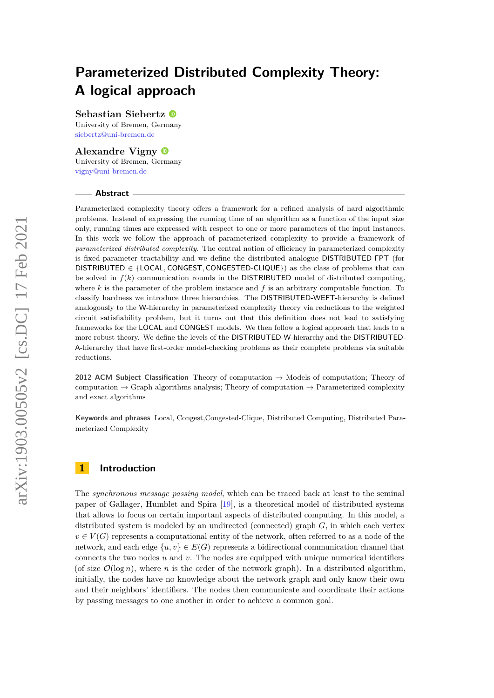# **Parameterized Distributed Complexity Theory: A logical approach**

**Sebastian Siebertz**

University of Bremen, Germany [siebertz@uni-bremen.de](mailto:siebertz@uni-bremen.de)

**Alexandre Vigny** University of Bremen, Germany [vigny@uni-bremen.de](mailto:vigny@uni-bremen.de)

#### **Abstract**

Parameterized complexity theory offers a framework for a refined analysis of hard algorithmic problems. Instead of expressing the running time of an algorithm as a function of the input size only, running times are expressed with respect to one or more parameters of the input instances. In this work we follow the approach of parameterized complexity to provide a framework of *parameterized distributed complexity*. The central notion of efficiency in parameterized complexity is fixed-parameter tractability and we define the distributed analogue DISTRIBUTED-FPT (for DISTRIBUTED  $\in$  {LOCAL, CONGEST, CONGESTED-CLIQUE}) as the class of problems that can be solved in *f*(*k*) communication rounds in the DISTRIBUTED model of distributed computing, where *k* is the parameter of the problem instance and *f* is an arbitrary computable function. To classify hardness we introduce three hierarchies. The DISTRIBUTED-WEFT-hierarchy is defined analogously to the W-hierarchy in parameterized complexity theory via reductions to the weighted circuit satisfiability problem, but it turns out that this definition does not lead to satisfying frameworks for the LOCAL and CONGEST models. We then follow a logical approach that leads to a more robust theory. We define the levels of the DISTRIBUTED-W-hierarchy and the DISTRIBUTED-A-hierarchy that have first-order model-checking problems as their complete problems via suitable reductions.

**2012 ACM Subject Classification** Theory of computation → Models of computation; Theory of computation  $\rightarrow$  Graph algorithms analysis; Theory of computation  $\rightarrow$  Parameterized complexity and exact algorithms

**Keywords and phrases** Local, Congest,Congested-Clique, Distributed Computing, Distributed Parameterized Complexity

# **1 Introduction**

The *synchronous message passing model*, which can be traced back at least to the seminal paper of Gallager, Humblet and Spira [\[19\]](#page-22-0), is a theoretical model of distributed systems that allows to focus on certain important aspects of distributed computing. In this model, a distributed system is modeled by an undirected (connected) graph *G*, in which each vertex  $v \in V(G)$  represents a computational entity of the network, often referred to as a node of the network, and each edge  $\{u, v\} \in E(G)$  represents a bidirectional communication channel that connects the two nodes *u* and *v*. The nodes are equipped with unique numerical identifiers (of size  $\mathcal{O}(\log n)$ , where *n* is the order of the network graph). In a distributed algorithm, initially, the nodes have no knowledge about the network graph and only know their own and their neighbors' identifiers. The nodes then communicate and coordinate their actions by passing messages to one another in order to achieve a common goal.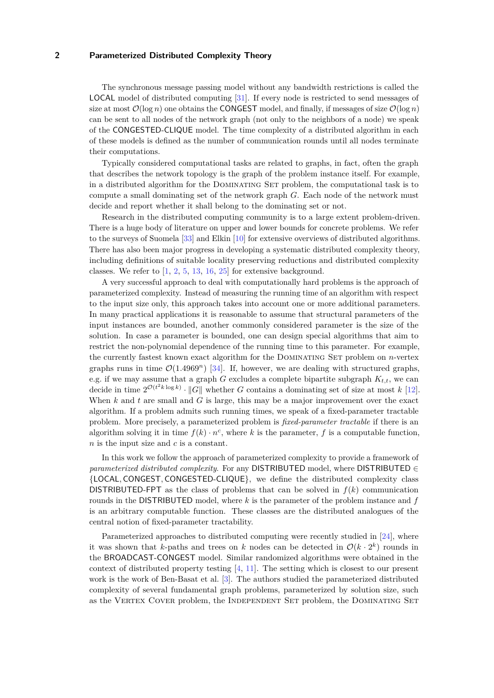The synchronous message passing model without any bandwidth restrictions is called the LOCAL model of distributed computing [\[31\]](#page-23-0). If every node is restricted to send messages of size at most  $\mathcal{O}(\log n)$  one obtains the CONGEST model, and finally, if messages of size  $\mathcal{O}(\log n)$ can be sent to all nodes of the network graph (not only to the neighbors of a node) we speak of the CONGESTED-CLIQUE model. The time complexity of a distributed algorithm in each of these models is defined as the number of communication rounds until all nodes terminate their computations.

Typically considered computational tasks are related to graphs, in fact, often the graph that describes the network topology is the graph of the problem instance itself. For example, in a distributed algorithm for the Dominating Set problem, the computational task is to compute a small dominating set of the network graph *G*. Each node of the network must decide and report whether it shall belong to the dominating set or not.

Research in the distributed computing community is to a large extent problem-driven. There is a huge body of literature on upper and lower bounds for concrete problems. We refer to the surveys of Suomela [\[33\]](#page-23-1) and Elkin [\[10\]](#page-22-1) for extensive overviews of distributed algorithms. There has also been major progress in developing a systematic distributed complexity theory, including definitions of suitable locality preserving reductions and distributed complexity classes. We refer to  $\left[1, 2, 5, 13, 16, 25\right]$  $\left[1, 2, 5, 13, 16, 25\right]$  $\left[1, 2, 5, 13, 16, 25\right]$  $\left[1, 2, 5, 13, 16, 25\right]$  $\left[1, 2, 5, 13, 16, 25\right]$  $\left[1, 2, 5, 13, 16, 25\right]$  $\left[1, 2, 5, 13, 16, 25\right]$  $\left[1, 2, 5, 13, 16, 25\right]$  $\left[1, 2, 5, 13, 16, 25\right]$  $\left[1, 2, 5, 13, 16, 25\right]$  $\left[1, 2, 5, 13, 16, 25\right]$  for extensive background.

A very successful approach to deal with computationally hard problems is the approach of parameterized complexity. Instead of measuring the running time of an algorithm with respect to the input size only, this approach takes into account one or more additional parameters. In many practical applications it is reasonable to assume that structural parameters of the input instances are bounded, another commonly considered parameter is the size of the solution. In case a parameter is bounded, one can design special algorithms that aim to restrict the non-polynomial dependence of the running time to this parameter. For example, the currently fastest known exact algorithm for the Dominating Set problem on *n*-vertex graphs runs in time  $\mathcal{O}(1.4969^n)$  [\[34\]](#page-23-2). If, however, we are dealing with structured graphs, e.g. if we may assume that a graph  $G$  excludes a complete bipartite subgraph  $K_{t,t}$ , we can decide in time  $2^{\mathcal{O}(t^2 k \log k)} \cdot ||G||$  whether *G* contains a dominating set of size at most *k* [\[12\]](#page-22-5). When *k* and *t* are small and *G* is large, this may be a major improvement over the exact algorithm. If a problem admits such running times, we speak of a fixed-parameter tractable problem. More precisely, a parameterized problem is *fixed-parameter tractable* if there is an algorithm solving it in time  $f(k) \cdot n^c$ , where k is the parameter, f is a computable function, *n* is the input size and *c* is a constant.

In this work we follow the approach of parameterized complexity to provide a framework of *parameterized distributed complexity*. For any DISTRIBUTED model, where DISTRIBUTED ∈ {LOCAL*,* CONGEST*,* CONGESTED-CLIQUE}, we define the distributed complexity class **DISTRIBUTED-FPT** as the class of problems that can be solved in  $f(k)$  communication rounds in the DISTRIBUTED model, where *k* is the parameter of the problem instance and *f* is an arbitrary computable function. These classes are the distributed analogues of the central notion of fixed-parameter tractability.

Parameterized approaches to distributed computing were recently studied in [\[24\]](#page-22-6), where it was shown that *k*-paths and trees on *k* nodes can be detected in  $\mathcal{O}(k \cdot 2^k)$  rounds in the BROADCAST-CONGEST model. Similar randomized algorithms were obtained in the context of distributed property testing [\[4,](#page-21-3) [11\]](#page-22-7). The setting which is closest to our present work is the work of Ben-Basat et al. [\[3\]](#page-21-4). The authors studied the parameterized distributed complexity of several fundamental graph problems, parameterized by solution size, such as the VERTEX COVER problem, the INDEPENDENT SET problem, the DOMINATING SET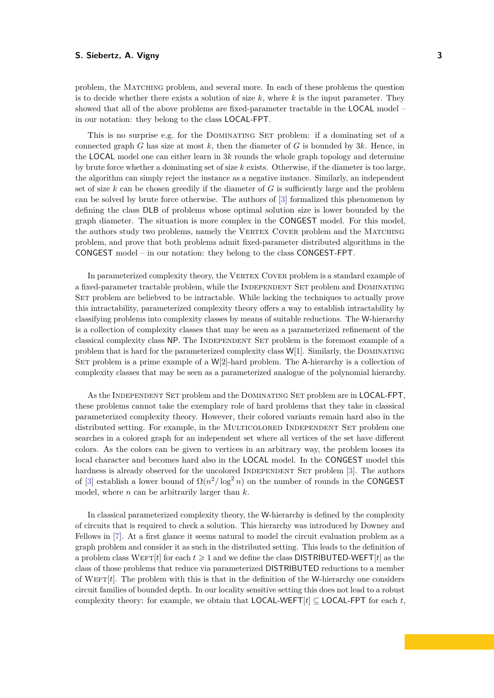problem, the Matching problem, and several more. In each of these problems the question is to decide whether there exists a solution of size *k*, where *k* is the input parameter. They showed that all of the above problems are fixed-parameter tractable in the LOCAL model – in our notation: they belong to the class LOCAL-FPT.

This is no surprise e.g. for the Dominating Set problem: if a dominating set of a connected graph *G* has size at most *k*, then the diameter of *G* is bounded by 3*k*. Hence, in the LOCAL model one can either learn in 3*k* rounds the whole graph topology and determine by brute force whether a dominating set of size *k* exists. Otherwise, if the diameter is too large, the algorithm can simply reject the instance as a negative instance. Similarly, an independent set of size *k* can be chosen greedily if the diameter of *G* is sufficiently large and the problem can be solved by brute force otherwise. The authors of [\[3\]](#page-21-4) formalized this phenomenon by defining the class DLB of problems whose optimal solution size is lower bounded by the graph diameter. The situation is more complex in the CONGEST model. For this model, the authors study two problems, namely the VERTEX COVER problem and the MATCHING problem, and prove that both problems admit fixed-parameter distributed algorithms in the CONGEST model – in our notation: they belong to the class CONGEST-FPT.

In parameterized complexity theory, the VERTEX COVER problem is a standard example of a fixed-parameter tractable problem, while the INDEPENDENT SET problem and DOMINATING SET problem are beliebved to be intractable. While lacking the techniques to actually prove this intractability, parameterized complexity theory offers a way to establish intractability by classifying problems into complexity classes by means of suitable reductions. The W-hierarchy is a collection of complexity classes that may be seen as a parameterized refinement of the classical complexity class NP. The INDEPENDENT SET problem is the foremost example of a problem that is hard for the parameterized complexity class  $W[1]$ . Similarly, the DOMINATING SET problem is a prime example of a  $W[2]$ -hard problem. The A-hierarchy is a collection of complexity classes that may be seen as a parameterized analogue of the polynomial hierarchy.

As the INDEPENDENT SET problem and the DOMINATING SET problem are in LOCAL-FPT. these problems cannot take the exemplary role of hard problems that they take in classical parameterized complexity theory. However, their colored variants remain hard also in the distributed setting. For example, in the MULTICOLORED INDEPENDENT SET problem one searches in a colored graph for an independent set where all vertices of the set have different colors. As the colors can be given to vertices in an arbitrary way, the problem looses its local character and becomes hard also in the LOCAL model. In the CONGEST model this hardness is already observed for the uncolored INDEPENDENT SET problem [\[3\]](#page-21-4). The authors of [\[3\]](#page-21-4) establish a lower bound of  $\Omega(n^2/\log^2 n)$  on the number of rounds in the CONGEST model, where *n* can be arbitrarily larger than *k*.

In classical parameterized complexity theory, the W-hierarchy is defined by the complexity of circuits that is required to check a solution. This hierarchy was introduced by Downey and Fellows in [\[7\]](#page-21-5). At a first glance it seems natural to model the circuit evaluation problem as a graph problem and consider it as such in the distributed setting. This leads to the definition of a problem class WEFT $[t]$  for each  $t \geq 1$  and we define the class DISTRIBUTED-WEFT $[t]$  as the class of those problems that reduce via parameterized DISTRIBUTED reductions to a member of WEFT $[t]$ . The problem with this is that in the definition of the W-hierarchy one considers circuit families of bounded depth. In our locality sensitive setting this does not lead to a robust complexity theory: for example, we obtain that  $\text{LOCAL-WEFT}[t] \subseteq \text{LOCAL-FPT}$  for each *t*.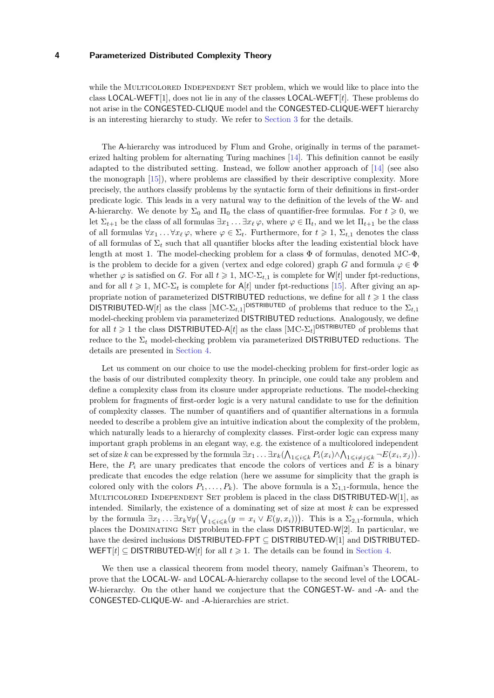while the MULTICOLORED INDEPENDENT SET problem, which we would like to place into the class LOCAL-WEFT[1], does not lie in any of the classes LOCAL-WEFT[*t*]. These problems do not arise in the CONGESTED-CLIQUE model and the CONGESTED-CLIQUE-WEFT hierarchy is an interesting hierarchy to study. We refer to [Section 3](#page-8-0) for the details.

The A-hierarchy was introduced by Flum and Grohe, originally in terms of the parameterized halting problem for alternating Turing machines [\[14\]](#page-22-8). This definition cannot be easily adapted to the distributed setting. Instead, we follow another approach of [\[14\]](#page-22-8) (see also the monograph [\[15\]](#page-22-9)), where problems are classified by their descriptive complexity. More precisely, the authors classify problems by the syntactic form of their definitions in first-order predicate logic. This leads in a very natural way to the definition of the levels of the W- and A-hierarchy. We denote by  $\Sigma_0$  and  $\Pi_0$  the class of quantifier-free formulas. For  $t \geq 0$ , we let  $\Sigma_{t+1}$  be the class of all formulas  $\exists x_1 \ldots \exists x_\ell \varphi$ , where  $\varphi \in \Pi_t$ , and we let  $\Pi_{t+1}$  be the class of all formulas  $\forall x_1 \dots \forall x_\ell \varphi$ , where  $\varphi \in \Sigma_t$ . Furthermore, for  $t \geq 1$ ,  $\Sigma_{t,1}$  denotes the class of all formulas of  $\Sigma_t$  such that all quantifier blocks after the leading existential block have length at most 1. The model-checking problem for a class  $\Phi$  of formulas, denoted MC- $\Phi$ , is the problem to decide for a given (vertex and edge colored) graph *G* and formula  $\varphi \in \Phi$ whether  $\varphi$  is satisfied on *G*. For all  $t \geq 1$ , MC- $\Sigma_{t,1}$  is complete for W[*t*] under fpt-reductions, and for all  $t \ge 1$ , MC- $\Sigma_t$  is complete for A[*t*] under fpt-reductions [\[15\]](#page-22-9). After giving an appropriate notion of parameterized DISTRIBUTED reductions, we define for all  $t \geq 1$  the class DISTRIBUTED-W[*t*] as the class  $[MC-\Sigma_{t,1}]$ <sup>DISTRIBUTED</sup> of problems that reduce to the  $\Sigma_{t,1}$ model-checking problem via parameterized DISTRIBUTED reductions. Analogously, we define for all  $t \geq 1$  the class DISTRIBUTED-A[ $t$ ] as the class  $\text{[MC-}\Sigma_t\text{]}^{\text{DISTRIBUTED}}$  of problems that reduce to the  $\Sigma_t$  model-checking problem via parameterized DISTRIBUTED reductions. The details are presented in [Section 4.](#page-10-0)

Let us comment on our choice to use the model-checking problem for first-order logic as the basis of our distributed complexity theory. In principle, one could take any problem and define a complexity class from its closure under appropriate reductions. The model-checking problem for fragments of first-order logic is a very natural candidate to use for the definition of complexity classes. The number of quantifiers and of quantifier alternations in a formula needed to describe a problem give an intuitive indication about the complexity of the problem, which naturally leads to a hierarchy of complexity classes. First-order logic can express many important graph problems in an elegant way, e.g. the existence of a multicolored independent set of size k can be expressed by the formula  $\exists x_1 \ldots \exists x_k (\bigwedge_{1 \leqslant i \leqslant k} P_i(x_i) \wedge \bigwedge_{1 \leqslant i \neq j \leqslant k} \neg E(x_i, x_j)).$ Here, the  $P_i$  are unary predicates that encode the colors of vertices and  $E$  is a binary predicate that encodes the edge relation (here we assume for simplicity that the graph is colored only with the colors  $P_1, \ldots, P_k$ ). The above formula is a  $\Sigma_{1,1}$ -formula, hence the Multicolored Independent Set problem is placed in the class DISTRIBUTED-W[1], as intended. Similarly, the existence of a dominating set of size at most *k* can be expressed by the formula  $\exists x_1 \ldots \exists x_k \forall y (\bigvee_{1 \leq i \leq k} (y = x_i \vee E(y, x_i)))$ . This is a  $\Sigma_{2,1}$ -formula, which places the DOMINATING SET problem in the class DISTRIBUTED-W[2]. In particular, we have the desired inclusions DISTRIBUTED-FPT ⊂ DISTRIBUTED-W[1] and DISTRIBUTED-WEFT $[t] \subseteq$  DISTRIBUTED-W[t] for all  $t \geq 1$ . The details can be found in [Section 4.](#page-10-0)

We then use a classical theorem from model theory, namely Gaifman's Theorem, to prove that the LOCAL-W- and LOCAL-A-hierarchy collapse to the second level of the LOCAL-W-hierarchy. On the other hand we conjecture that the CONGEST-W- and -A- and the CONGESTED-CLIQUE-W- and -A-hierarchies are strict.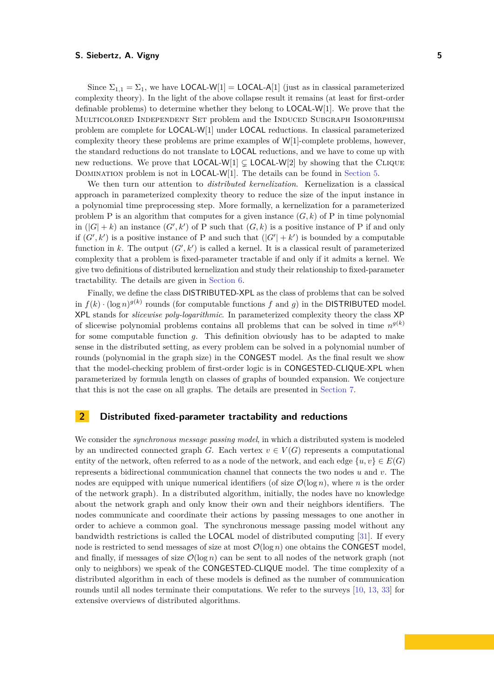Since  $\Sigma_{1,1} = \Sigma_1$ , we have LOCAL-W[1] = LOCAL-A[1] (just as in classical parameterized complexity theory). In the light of the above collapse result it remains (at least for first-order definable problems) to determine whether they belong to LOCAL-W[1]. We prove that the Multicolored Independent Set problem and the Induced Subgraph Isomorphism problem are complete for LOCAL-W[1] under LOCAL reductions. In classical parameterized complexity theory these problems are prime examples of W[1]-complete problems, however, the standard reductions do not translate to LOCAL reductions, and we have to come up with new reductions. We prove that  $LOCAL-W[1] \subsetneq$  LOCAL-W[2] by showing that the CLIQUE Domination problem is not in LOCAL-W[1]. The details can be found in [Section 5.](#page-11-0)

We then turn our attention to *distributed kernelization*. Kernelization is a classical approach in parameterized complexity theory to reduce the size of the input instance in a polynomial time preprocessing step. More formally, a kernelization for a parameterized problem P is an algorithm that computes for a given instance  $(G, k)$  of P in time polynomial in  $(|G| + k)$  an instance  $(G', k')$  of P such that  $(G, k)$  is a positive instance of P if and only if  $(G', k')$  is a positive instance of P and such that  $(|G'| + k')$  is bounded by a computable function in k. The output  $(G', k')$  is called a kernel. It is a classical result of parameterized complexity that a problem is fixed-parameter tractable if and only if it admits a kernel. We give two definitions of distributed kernelization and study their relationship to fixed-parameter tractability. The details are given in [Section 6.](#page-16-0)

Finally, we define the class DISTRIBUTED-XPL as the class of problems that can be solved in  $f(k) \cdot (\log n)^{g(k)}$  rounds (for computable functions f and g) in the DISTRIBUTED model. XPL stands for *slicewise poly-logarithmic*. In parameterized complexity theory the class XP of slicewise polynomial problems contains all problems that can be solved in time  $n^{g(k)}$ for some computable function *g*. This definition obviously has to be adapted to make sense in the distributed setting, as every problem can be solved in a polynomial number of rounds (polynomial in the graph size) in the CONGEST model. As the final result we show that the model-checking problem of first-order logic is in CONGESTED-CLIQUE-XPL when parameterized by formula length on classes of graphs of bounded expansion. We conjecture that this is not the case on all graphs. The details are presented in [Section 7.](#page-18-0)

# **2 Distributed fixed-parameter tractability and reductions**

We consider the *synchronous message passing model*, in which a distributed system is modeled by an undirected connected graph *G*. Each vertex  $v \in V(G)$  represents a computational entity of the network, often referred to as a node of the network, and each edge  $\{u, v\} \in E(G)$ represents a bidirectional communication channel that connects the two nodes *u* and *v*. The nodes are equipped with unique numerical identifiers (of size  $\mathcal{O}(\log n)$ , where *n* is the order of the network graph). In a distributed algorithm, initially, the nodes have no knowledge about the network graph and only know their own and their neighbors identifiers. The nodes communicate and coordinate their actions by passing messages to one another in order to achieve a common goal. The synchronous message passing model without any bandwidth restrictions is called the LOCAL model of distributed computing [\[31\]](#page-23-0). If every node is restricted to send messages of size at most  $\mathcal{O}(\log n)$  one obtains the CONGEST model, and finally, if messages of size  $\mathcal{O}(\log n)$  can be sent to all nodes of the network graph (not only to neighbors) we speak of the CONGESTED-CLIQUE model. The time complexity of a distributed algorithm in each of these models is defined as the number of communication rounds until all nodes terminate their computations. We refer to the surveys [\[10,](#page-22-1) [13,](#page-22-2) [33\]](#page-23-1) for extensive overviews of distributed algorithms.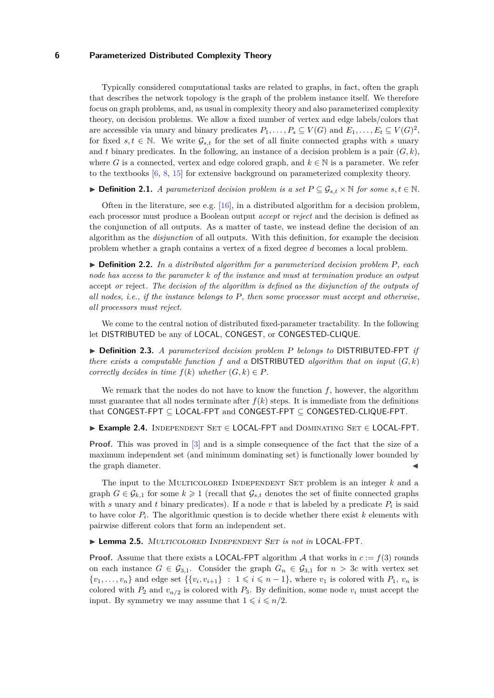Typically considered computational tasks are related to graphs, in fact, often the graph that describes the network topology is the graph of the problem instance itself. We therefore focus on graph problems, and, as usual in complexity theory and also parameterized complexity theory, on decision problems. We allow a fixed number of vertex and edge labels/colors that are accessible via unary and binary predicates  $P_1, \ldots, P_s \subseteq V(G)$  and  $E_1, \ldots, E_t \subseteq V(G)^2$ , for fixed  $s, t \in \mathbb{N}$ . We write  $\mathcal{G}_{s,t}$  for the set of all finite connected graphs with *s* unary and *t* binary predicates. In the following, an instance of a decision problem is a pair  $(G, k)$ , where *G* is a connected, vertex and edge colored graph, and  $k \in \mathbb{N}$  is a parameter. We refer to the textbooks [\[6,](#page-21-6) [8,](#page-21-7) [15\]](#page-22-9) for extensive background on parameterized complexity theory.

**► Definition 2.1.** *A parameterized decision problem is a set*  $P \subseteq G_{s,t} \times \mathbb{N}$  *for some*  $s,t \in \mathbb{N}$ *.* 

Often in the literature, see e.g.  $[16]$ , in a distributed algorithm for a decision problem, each processor must produce a Boolean output *accept* or *reject* and the decision is defined as the conjunction of all outputs. As a matter of taste, we instead define the decision of an algorithm as the *disjunction* of all outputs. With this definition, for example the decision problem whether a graph contains a vertex of a fixed degree *d* becomes a local problem.

I **Definition 2.2.** *In a distributed algorithm for a parameterized decision problem* P*, each node has access to the parameter k of the instance and must at termination produce an output* accept *or* reject*. The decision of the algorithm is defined as the disjunction of the outputs of all nodes, i.e., if the instance belongs to* P*, then some processor must accept and otherwise, all processors must reject.*

We come to the central notion of distributed fixed-parameter tractability. In the following let DISTRIBUTED be any of LOCAL, CONGEST, or CONGESTED-CLIQUE.

I **Definition 2.3.** *A parameterized decision problem* P *belongs to* DISTRIBUTED*-*FPT *if there exists a computable function*  $f$  *and a* DISTRIBUTED *algorithm that on input*  $(G, k)$ *correctly decides in time*  $f(k)$  *whether*  $(G, k) \in P$ *.* 

We remark that the nodes do not have to know the function *f*, however, the algorithm must guarantee that all nodes terminate after  $f(k)$  steps. It is immediate from the definitions that CONGEST-FPT ⊆ LOCAL-FPT and CONGEST-FPT ⊆ CONGESTED-CLIQUE-FPT.

I **Example 2.4.** Independent Set ∈ LOCAL-FPT and Dominating Set ∈ LOCAL-FPT.

**Proof.** This was proved in [\[3\]](#page-21-4) and is a simple consequence of the fact that the size of a maximum independent set (and minimum dominating set) is functionally lower bounded by the graph diameter.

The input to the Multicolored Independent Set problem is an integer *k* and a graph  $G \in \mathcal{G}_{k,1}$  for some  $k \geq 1$  (recall that  $\mathcal{G}_{s,t}$  denotes the set of finite connected graphs with *s* unary and *t* binary predicates). If a node *v* that is labeled by a predicate  $P_i$  is said to have color *P<sup>i</sup>* . The algorithmic question is to decide whether there exist *k* elements with pairwise different colors that form an independent set.

<span id="page-5-0"></span>I **Lemma 2.5.** Multicolored Independent Set *is not in* LOCAL*-*FPT*.*

**Proof.** Assume that there exists a LOCAL-FPT algorithm A that works in  $c := f(3)$  rounds on each instance  $G \in \mathcal{G}_{3,1}$ . Consider the graph  $G_n \in \mathcal{G}_{3,1}$  for  $n > 3c$  with vertex set  $\{v_1, \ldots, v_n\}$  and edge set  $\{\{v_i, v_{i+1}\} : 1 \leq i \leq n-1\}$ , where  $v_1$  is colored with  $P_1, v_n$  is colored with  $P_2$  and  $v_{n/2}$  is colored with  $P_3$ . By definition, some node  $v_i$  must accept the input. By symmetry we may assume that  $1 \leq i \leq n/2$ .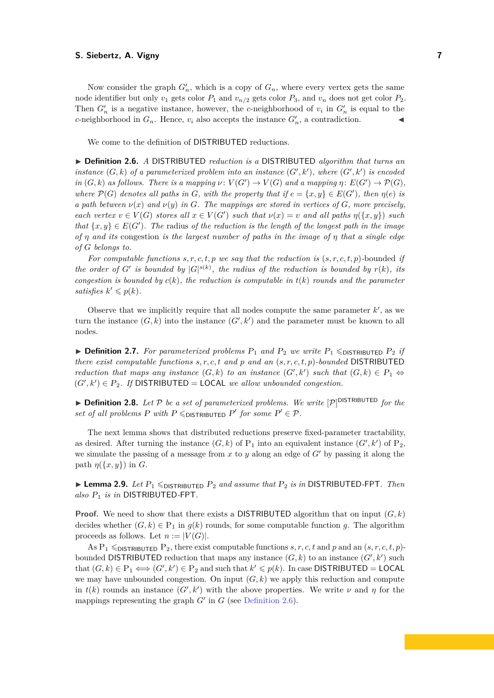Now consider the graph  $G'_n$ , which is a copy of  $G_n$ , where every vertex gets the same node identifier but only  $v_1$  gets color  $P_1$  and  $v_{n/2}$  gets color  $P_3$ , and  $v_n$  does not get color  $P_2$ . Then  $G'_n$  is a negative instance, however, the *c*-neighborhood of  $v_i$  in  $G'_n$  is equal to the *c*-neighborhood in  $G_n$ . Hence,  $v_i$  also accepts the instance  $G'_n$ , a contradiction.

We come to the definition of DISTRIBUTED reductions.

<span id="page-6-0"></span>I **Definition 2.6.** *A* DISTRIBUTED *reduction is a* DISTRIBUTED *algorithm that turns an instance*  $(G, k)$  *of a parameterized problem into an instance*  $(G', k')$ *, where*  $(G', k')$  *is encoded in*  $(G, k)$  *as follows. There is a mapping*  $\nu: V(G') \to V(G)$  *and a mapping*  $\eta: E(G') \to \mathcal{P}(G)$ *, where*  $\mathcal{P}(G)$  *denotes all paths in G, with the property that if*  $e = \{x, y\} \in E(G')$ *, then*  $\eta(e)$  *is a path between*  $\nu(x)$  *and*  $\nu(y)$  *in G. The mappings are stored in vertices of G<sub></sub>, more precisely, each vertex*  $v \in V(G)$  *stores all*  $x \in V(G')$  *such that*  $\nu(x) = v$  *and all paths*  $\eta(\lbrace x, y \rbrace)$  *such that*  $\{x, y\} \in E(G')$ . The radius of the reduction is the length of the longest path in the image *of η and its* congestion *is the largest number of paths in the image of η that a single edge of G belongs to.*

*For computable functions*  $s, r, c, t, p$  *we say that the reduction is*  $(s, r, c, t, p)$ *-bounded if the order of G' is bounded by*  $|G|^{s(k)}$ *, the radius of the reduction is bounded by*  $r(k)$ *, its congestion is bounded by*  $c(k)$ *, the reduction is computable in*  $t(k)$  *rounds and the parameter satisfies*  $k' \leq p(k)$ *.* 

Observe that we implicitly require that all nodes compute the same parameter  $k'$ , as we turn the instance  $(G, k)$  into the instance  $(G', k')$  and the parameter must be known to all nodes.

 $\triangleright$  **Definition 2.7.** For parameterized problems  $P_1$  and  $P_2$  we write  $P_1 \leq \text{DISTRIBUTED } P_2$  *if there exist computable functions s, r, c, t and p and an* (*s, r, c, t, p*)*-bounded* DISTRIBUTED *reduction that maps any instance*  $(G, k)$  *to an instance*  $(G', k')$  *such that*  $(G, k) \in P_1 \Leftrightarrow$  $(G', k') \in P_2$ . If DISTRIBUTED = LOCAL we allow unbounded congestion.

 $\blacktriangleright$  **Definition 2.8.** Let  $P$  be a set of parameterized problems. We write  $[P]$ <sup>DISTRIBUTED</sup> for the *set of all problems*  $P$  *with*  $P \leq_{\text{DISTRIBUTED}} P'$  *for some*  $P' \in \mathcal{P}$ *.* 

The next lemma shows that distributed reductions preserve fixed-parameter tractability, as desired. After turning the instance  $(G, k)$  of  $P_1$  into an equivalent instance  $(G', k')$  of  $P_2$ , we simulate the passing of a message from  $x$  to  $y$  along an edge of  $G'$  by passing it along the path  $\eta({x, y})$  in *G*.

<span id="page-6-1"></span> $\blacktriangleright$  **Lemma 2.9.** *Let*  $P_1 \leq_{\text{DISTRIBUTED}} P_2$  *and assume that*  $P_2$  *is in* DISTRIBUTED-FPT. *Then also* P<sup>1</sup> *is in* DISTRIBUTED*-*FPT*.*

**Proof.** We need to show that there exists a DISTRIBUTED algorithm that on input  $(G, k)$ decides whether  $(G, k) \in P_1$  in  $g(k)$  rounds, for some computable function g. The algorithm proceeds as follows. Let  $n := |V(G)|$ .

As  $P_1 \leq_{\text{DISTRIBUTED}} P_2$ , there exist computable functions  $s, r, c, t$  and p and an  $(s, r, c, t, p)$ bounded DISTRIBUTED reduction that maps any instance  $(G, k)$  to an instance  $(G', k')$  such that  $(G, k) \in P_1 \Longleftrightarrow (G', k') \in P_2$  and such that  $k' \leq p(k)$ . In case DISTRIBUTED = LOCAL we may have unbounded congestion. On input  $(G, k)$  we apply this reduction and compute in  $t(k)$  rounds an instance  $(G', k')$  with the above properties. We write  $\nu$  and  $\eta$  for the mappings representing the graph  $G'$  in  $G$  (see [Definition 2.6\)](#page-6-0).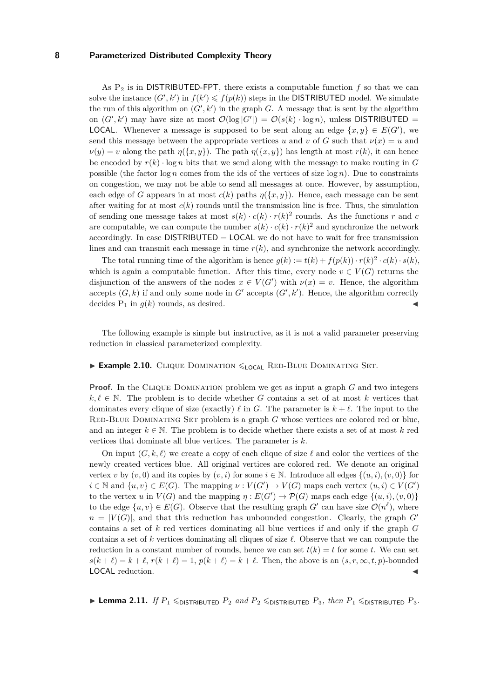As  $P_2$  is in DISTRIBUTED-FPT, there exists a computable function  $f$  so that we can solve the instance  $(G', k')$  in  $f(k') \leq f(p(k))$  steps in the DISTRIBUTED model. We simulate the run of this algorithm on  $(G', k')$  in the graph  $G$ . A message that is sent by the algorithm on  $(G', k')$  may have size at most  $\mathcal{O}(\log |G'|) = \mathcal{O}(s(k) \cdot \log n)$ , unless DISTRIBUTED = **LOCAL.** Whenever a message is supposed to be sent along an edge  $\{x, y\} \in E(G')$ , we send this message between the appropriate vertices *u* and *v* of *G* such that  $\nu(x) = u$  and  $\nu(y) = v$  along the path  $\eta({x, y})$ . The path  $\eta({x, y})$  has length at most  $r(k)$ , it can hence be encoded by  $r(k) \cdot \log n$  bits that we send along with the message to make routing in *G* possible (the factor  $\log n$  comes from the ids of the vertices of size  $\log n$ ). Due to constraints on congestion, we may not be able to send all messages at once. However, by assumption, each edge of *G* appears in at most  $c(k)$  paths  $\eta({x, y})$ . Hence, each message can be sent after waiting for at most  $c(k)$  rounds until the transmission line is free. Thus, the simulation of sending one message takes at most  $s(k) \cdot c(k) \cdot r(k)^2$  rounds. As the functions *r* and *c* are computable, we can compute the number  $s(k) \cdot c(k) \cdot r(k)^2$  and synchronize the network accordingly. In case  $DISTRIBUTED = LOGL$  we do not have to wait for free transmission lines and can transmit each message in time  $r(k)$ , and synchronize the network accordingly.

The total running time of the algorithm is hence  $g(k) := t(k) + f(p(k)) \cdot r(k)^2 \cdot c(k) \cdot s(k)$ , which is again a computable function. After this time, every node  $v \in V(G)$  returns the disjunction of the answers of the nodes  $x \in V(G')$  with  $\nu(x) = v$ . Hence, the algorithm accepts  $(G, k)$  if and only some node in  $G'$  accepts  $(G', k')$ . Hence, the algorithm correctly decides  $P_1$  in  $q(k)$  rounds, as desired.

The following example is simple but instructive, as it is not a valid parameter preserving reduction in classical parameterized complexity.

#### <span id="page-7-0"></span>**Example 2.10.** CLIQUE DOMINATION  $\leq$ <sub>LOCAL</sub> RED-BLUE DOMINATING SET.

**Proof.** In the CLIQUE DOMINATION problem we get as input a graph *G* and two integers  $k, \ell \in \mathbb{N}$ . The problem is to decide whether *G* contains a set of at most *k* vertices that dominates every clique of size (exactly)  $\ell$  in *G*. The parameter is  $k + \ell$ . The input to the RED-BLUE DOMINATING SET problem is a graph *G* whose vertices are colored red or blue, and an integer  $k \in \mathbb{N}$ . The problem is to decide whether there exists a set of at most k red vertices that dominate all blue vertices. The parameter is *k*.

On input  $(G, k, \ell)$  we create a copy of each clique of size  $\ell$  and color the vertices of the newly created vertices blue. All original vertices are colored red. We denote an original vertex *v* by  $(v, 0)$  and its copies by  $(v, i)$  for some  $i \in \mathbb{N}$ . Introduce all edges  $\{(u, i), (v, 0)\}$  for  $i \in \mathbb{N}$  and  $\{u, v\} \in E(G)$ . The mapping  $\nu : V(G') \to V(G)$  maps each vertex  $(u, i) \in V(G')$ to the vertex *u* in  $V(G)$  and the mapping  $\eta : E(G') \to \mathcal{P}(G)$  maps each edge  $\{(u, i), (v, 0)\}$ to the edge  $\{u, v\} \in E(G)$ . Observe that the resulting graph  $G'$  can have size  $\mathcal{O}(n^{\ell})$ , where  $n = |V(G)|$ , and that this reduction has unbounded congestion. Clearly, the graph *G*<sup>0</sup> contains a set of *k* red vertices dominating all blue vertices if and only if the graph *G* contains a set of  $k$  vertices dominating all cliques of size  $\ell$ . Observe that we can compute the reduction in a constant number of rounds, hence we can set  $t(k) = t$  for some *t*. We can set  $s(k+\ell) = k+\ell$ ,  $r(k+\ell) = 1$ ,  $p(k+\ell) = k+\ell$ . Then, the above is an  $(s, r, \infty, t, p)$ -bounded LOCAL reduction.

<span id="page-7-1"></span>**IDERMIFY LEMMA 2.11.** *If*  $P_1 \leq_{\text{DISTRIBUTED}} P_2$  *and*  $P_2 \leq_{\text{DISTRIBUTED}} P_3$ *, then*  $P_1 \leq_{\text{DISTRIBUTED}} P_3$ *.*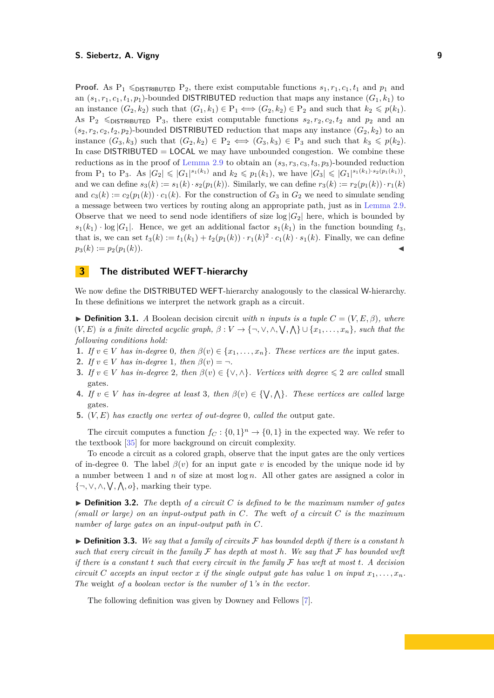**Proof.** As  $P_1 \leq_{\text{DISTRIBUTED}} P_2$ , there exist computable functions  $s_1, r_1, c_1, t_1$  and  $p_1$  and an  $(s_1, r_1, c_1, t_1, p_1)$ -bounded DISTRIBUTED reduction that maps any instance  $(G_1, k_1)$  to an instance  $(G_2, k_2)$  such that  $(G_1, k_1) \in P_1 \Longleftrightarrow (G_2, k_2) \in P_2$  and such that  $k_2 \leq p(k_1)$ . As  $P_2 \leq P_3$ , there exist computable functions  $s_2, r_2, c_2, t_2$  and  $p_2$  and an  $(s_2, r_2, c_2, t_2, p_2)$ -bounded DISTRIBUTED reduction that maps any instance  $(G_2, k_2)$  to an instance  $(G_3, k_3)$  such that  $(G_2, k_2) \in P_2 \iff (G_3, k_3) \in P_3$  and such that  $k_3 \leq p(k_2)$ . In case  $DISTRIBUTED = LOGAL$  we may have unbounded congestion. We combine these reductions as in the proof of [Lemma 2.9](#page-6-1) to obtain an  $(s_3, r_3, c_3, t_3, p_3)$ -bounded reduction from P<sub>1</sub> to P<sub>3</sub>. As  $|G_2| \leq |G_1|^{s_1(k_1)}$  and  $k_2 \leq p_1(k_1)$ , we have  $|G_3| \leq |G_1|^{s_1(k_1)\cdot s_2(p_1(k_1))}$ , and we can define  $s_3(k) := s_1(k) \cdot s_2(p_1(k))$ . Similarly, we can define  $r_3(k) := r_2(p_1(k)) \cdot r_1(k)$ and  $c_3(k) := c_2(p_1(k)) \cdot c_1(k)$ . For the construction of  $G_3$  in  $G_2$  we need to simulate sending a message between two vertices by routing along an appropriate path, just as in [Lemma 2.9.](#page-6-1) Observe that we need to send node identifiers of size  $log|G_2|$  here, which is bounded by  $s_1(k_1) \cdot \log |G_1|$ . Hence, we get an additional factor  $s_1(k_1)$  in the function bounding  $t_3$ , that is, we can set  $t_3(k) := t_1(k_1) + t_2(p_1(k)) \cdot r_1(k)^2 \cdot c_1(k) \cdot s_1(k)$ . Finally, we can define  $p_3(k) := p_2(p_1(k)).$ 

# <span id="page-8-0"></span>**3 The distributed WEFT-hierarchy**

We now define the DISTRIBUTED WEFT-hierarchy analogously to the classical W-hierarchy. In these definitions we interpret the network graph as a circuit.

 $\triangleright$  **Definition 3.1.** *A* Boolean decision circuit *with n inputs* is a tuple  $C = (V, E, \beta)$ *, where*  $(V, E)$  *is a finite directed acyclic graph,*  $\beta: V \to \{\neg, \vee, \wedge, \vee, \wedge, \vee, \wedge\} \cup \{x_1, \ldots, x_n\}$ *, such that the following conditions hold:*

- **1.** *If*  $v \in V$  *has in-degree* 0*, then*  $\beta(v) \in \{x_1, \ldots, x_n\}$ *. These vertices are the* input gates*.*
- **2.** *If*  $v \in V$  *has in-degree* 1*, then*  $\beta(v) = \neg$ *.*
- **3.** *If*  $v \in V$  *has in-degree* 2*, then*  $\beta(v) \in \{ \vee, \wedge \}$ *. Vertices with degree*  $\leq 2$  *are called* small gates*.*
- **4.** *If*  $v \in V$  *has in-degree at least* 3*, then*  $\beta(v) \in \{\forall, \land\}$ *. These vertices are called* large gates*.*
- **5.** (*V, E*) *has exactly one vertex of out-degree* 0*, called the* output gate*.*

The circuit computes a function  $f_C: \{0,1\}^n \to \{0,1\}$  in the expected way. We refer to the textbook [\[35\]](#page-23-3) for more background on circuit complexity.

To encode a circuit as a colored graph, observe that the input gates are the only vertices of in-degree 0. The label  $\beta(v)$  for an input gate *v* is encoded by the unique node id by a number between 1 and *n* of size at most log *n*. All other gates are assigned a color in {¬,  $\vee$ ,  $\wedge$ ,  $\vee$ ,  $\wedge$ ,  $\wedge$ ,  $o$ }, marking their type.

 $\triangleright$  **Definition 3.2.** *The* depth *of a circuit C is defined to be the maximum number of gates (small or large) on an input-output path in C. The* weft *of a circuit C is the maximum number of large gates on an input-output path in C.*

 $\triangleright$  **Definition 3.3.** We say that a family of circuits F has bounded depth if there is a constant h *such that every circuit in the family* F *has depth at most h. We say that* F *has bounded weft if there is a constant t such that every circuit in the family* F *has weft at most t. A decision circuit C* accepts an input vector *x* if the single output gate has value 1 *on input*  $x_1, \ldots, x_n$ . *The* weight *of a boolean vector is the number of* 1*'s in the vector.*

The following definition was given by Downey and Fellows [\[7\]](#page-21-5).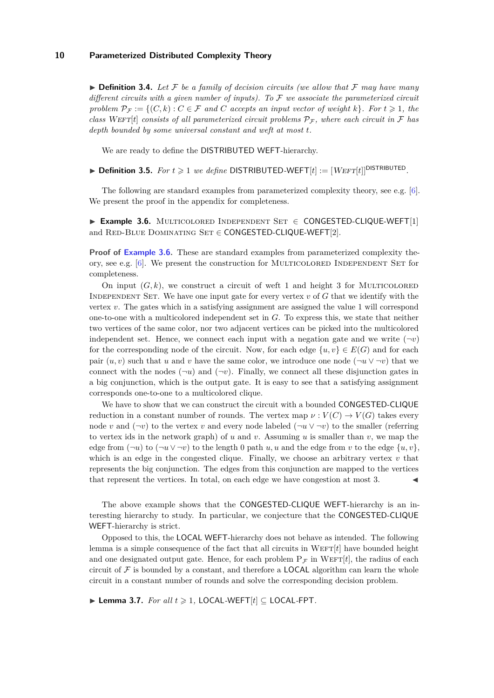$\triangleright$  **Definition 3.4.** Let F be a family of decision circuits (we allow that F may have many *different circuits with a given number of inputs). To* F *we associate the parameterized circuit problem*  $\mathcal{P}_\mathcal{F} := \{ (C, k) : C \in \mathcal{F} \text{ and } C \text{ accepts an input vector of weight } k \}.$  For  $t \geq 1$ , the *class* WEFT $[t]$  *consists of all parameterized circuit problems*  $P_F$ *, where each circuit in* F has *depth bounded by some universal constant and weft at most t.*

We are ready to define the DISTRIBUTED WEFT-hierarchy.

 $\triangleright$  **Definition 3.5.** *For*  $t \geq 1$  *we define* DISTRIBUTED-WEFT[ $t$ ] := [WEFT[ $t$ ]]<sup>DISTRIBUTED</sup>.

The following are standard examples from parameterized complexity theory, see e.g. [\[6\]](#page-21-6). We present the proof in the appendix for completeness.

<span id="page-9-0"></span>I **Example 3.6.** Multicolored Independent Set ∈ CONGESTED-CLIQUE-WEFT[1] and RED-BLUE DOMINATING  $SET \in CONGESTED-CLIQUE-WEFT[2]$ .

**Proof of [Example 3.6.](#page-9-0)** These are standard examples from parameterized complexity theory, see e.g.  $[6]$ . We present the construction for MULTICOLORED INDEPENDENT SET for completeness.

On input  $(G, k)$ , we construct a circuit of weft 1 and height 3 for MULTICOLORED Independent Set. We have one input gate for every vertex *v* of *G* that we identify with the vertex *v*. The gates which in a satisfying assignment are assigned the value 1 will correspond one-to-one with a multicolored independent set in *G*. To express this, we state that neither two vertices of the same color, nor two adjacent vertices can be picked into the multicolored independent set. Hence, we connect each input with a negation gate and we write  $(\neg v)$ for the corresponding node of the circuit. Now, for each edge  $\{u, v\} \in E(G)$  and for each pair  $(u, v)$  such that *u* and *v* have the same color, we introduce one node  $(\neg u \vee \neg v)$  that we connect with the nodes  $(\neg u)$  and  $(\neg v)$ . Finally, we connect all these disjunction gates in a big conjunction, which is the output gate. It is easy to see that a satisfying assignment corresponds one-to-one to a multicolored clique.

We have to show that we can construct the circuit with a bounded CONGESTED-CLIQUE reduction in a constant number of rounds. The vertex map  $\nu : V(C) \to V(G)$  takes every node *v* and  $(\neg v)$  to the vertex *v* and every node labeled  $(\neg u \lor \neg v)$  to the smaller (referring to vertex ids in the network graph) of *u* and *v*. Assuming *u* is smaller than *v*, we map the edge from  $(\neg u)$  to  $(\neg u \vee \neg v)$  to the length 0 path *u, u* and the edge from *v* to the edge  $\{u, v\}$ , which is an edge in the congested clique. Finally, we choose an arbitrary vertex  $v$  that represents the big conjunction. The edges from this conjunction are mapped to the vertices that represent the vertices. In total, on each edge we have congestion at most 3.

The above example shows that the CONGESTED-CLIQUE WEFT-hierarchy is an interesting hierarchy to study. In particular, we conjecture that the CONGESTED-CLIQUE WEFT-hierarchy is strict.

Opposed to this, the LOCAL WEFT-hierarchy does not behave as intended. The following lemma is a simple consequence of the fact that all circuits in  $WET[t]$  have bounded height and one designated output gate. Hence, for each problem  $P_{\mathcal{F}}$  in WEFT $[t]$ , the radius of each circuit of  $\mathcal F$  is bounded by a constant, and therefore a **LOCAL** algorithm can learn the whole circuit in a constant number of rounds and solve the corresponding decision problem.

<span id="page-9-1"></span>▶ **Lemma 3.7.** *For all*  $t \ge 1$ , LOCAL-WEFT $[t]$   $\subseteq$  LOCAL-FPT.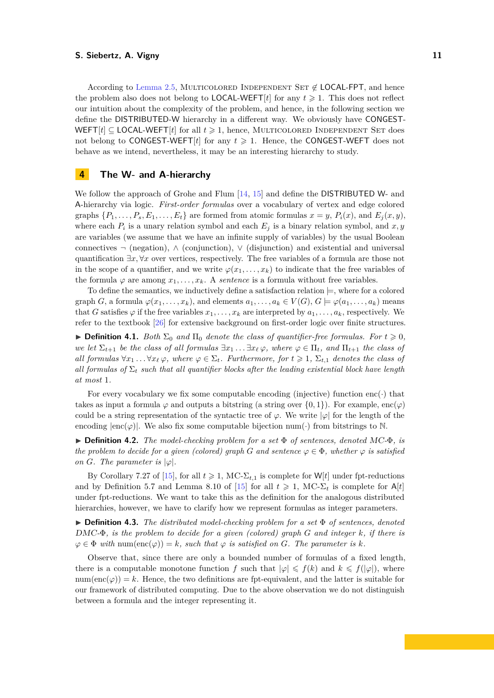According to [Lemma 2.5,](#page-5-0) MULTICOLORED INDEPENDENT SET  $\notin$  LOCAL-FPT, and hence the problem also does not belong to **LOCAL-WEFT** $[t]$  for any  $t \ge 1$ . This does not reflect our intuition about the complexity of the problem, and hence, in the following section we define the DISTRIBUTED-W hierarchy in a different way. We obviously have CONGEST-WEFT $[t] \subseteq$  LOCAL-WEFT $[t]$  for all  $t \geq 1$ , hence, MULTICOLORED INDEPENDENT SET does not belong to CONGEST-WEFT $[t]$  for any  $t \geq 1$ . Hence, the CONGEST-WEFT does not behave as we intend, nevertheless, it may be an interesting hierarchy to study.

# <span id="page-10-0"></span>**4 The W- and A-hierarchy**

We follow the approach of Grohe and Flum [\[14,](#page-22-8) [15\]](#page-22-9) and define the DISTRIBUTED W- and A-hierarchy via logic. *First-order formulas* over a vocabulary of vertex and edge colored graphs  $\{P_1, \ldots, P_s, E_1, \ldots, E_t\}$  are formed from atomic formulas  $x = y$ ,  $P_i(x)$ , and  $E_i(x, y)$ . where each  $P_i$  is a unary relation symbol and each  $E_j$  is a binary relation symbol, and  $x, y$ are variables (we assume that we have an infinite supply of variables) by the usual Boolean connectives ¬ (negation), ∧ (conjunction), ∨ (disjunction) and existential and universal quantification  $\exists x, \forall x$  over vertices, respectively. The free variables of a formula are those not in the scope of a quantifier, and we write  $\varphi(x_1, \ldots, x_k)$  to indicate that the free variables of the formula  $\varphi$  are among  $x_1, \ldots, x_k$ . A *sentence* is a formula without free variables.

To define the semantics, we inductively define a satisfaction relation  $\models$ , where for a colored graph *G*, a formula  $\varphi(x_1, \ldots, x_k)$ , and elements  $a_1, \ldots, a_k \in V(G), G \models \varphi(a_1, \ldots, a_k)$  means that *G* satisfies  $\varphi$  if the free variables  $x_1, \ldots, x_k$  are interpreted by  $a_1, \ldots, a_k$ , respectively. We refer to the textbook [\[26\]](#page-22-10) for extensive background on first-order logic over finite structures.

 $\blacktriangleright$  **Definition 4.1.** *Both*  $\Sigma_0$  *and*  $\Pi_0$  *denote the class of quantifier-free formulas. For*  $t \geq 0$ *, we let*  $\Sigma_{t+1}$  *be the class of all formulas*  $\exists x_1 \dots \exists x_\ell \varphi$ *, where*  $\varphi \in \Pi_t$ *, and*  $\Pi_{t+1}$  *the class of all formulas*  $\forall x_1 \dots \forall x_\ell \varphi$ , where  $\varphi \in \Sigma_t$ . Furthermore, for  $t \geq 1$ ,  $\Sigma_{t,1}$  *denotes the class of all formulas of*  $\Sigma_t$  *such that all quantifier blocks after the leading existential block have length at most* 1*.*

For every vocabulary we fix some computable encoding (injective) function enc $(\cdot)$  that takes as input a formula  $\varphi$  and outputs a bitstring (a string over {0, 1}). For example, enc $(\varphi)$ could be a string representation of the syntactic tree of  $\varphi$ . We write  $|\varphi|$  for the length of the encoding  $|enc(\varphi)|$ . We also fix some computable bijection num(·) from bitstrings to N.

I **Definition 4.2.** *The model-checking problem for a set* Φ *of sentences, denoted* MC*-*Φ*, is the problem to decide for a given (colored) graph G* and sentence  $\varphi \in \Phi$ , whether  $\varphi$  is satisfied *on G.* The parameter is  $|\varphi|$ *.* 

By Corollary 7.27 of [\[15\]](#page-22-9), for all  $t \geq 1$ , MC- $\Sigma_{t,1}$  is complete for W[*t*] under fpt-reductions and by Definition 5.7 and Lemma 8.10 of [\[15\]](#page-22-9) for all  $t \geq 1$ , MC- $\Sigma_t$  is complete for A[t] under fpt-reductions. We want to take this as the definition for the analogous distributed hierarchies, however, we have to clarify how we represent formulas as integer parameters.

I **Definition 4.3.** *The distributed model-checking problem for a set* Φ *of sentences, denoted* DMC*-*Φ*, is the problem to decide for a given (colored) graph G and integer k, if there is*  $\varphi \in \Phi$  *with* num(enc( $\varphi$ )) = *k, such that*  $\varphi$  *is satisfied on G. The parameter is k.* 

Observe that, since there are only a bounded number of formulas of a fixed length, there is a computable monotone function *f* such that  $|\varphi| \leq f(k)$  and  $k \leq f(|\varphi|)$ , where num(enc( $\varphi$ )) = k. Hence, the two definitions are fpt-equivalent, and the latter is suitable for our framework of distributed computing. Due to the above observation we do not distinguish between a formula and the integer representing it.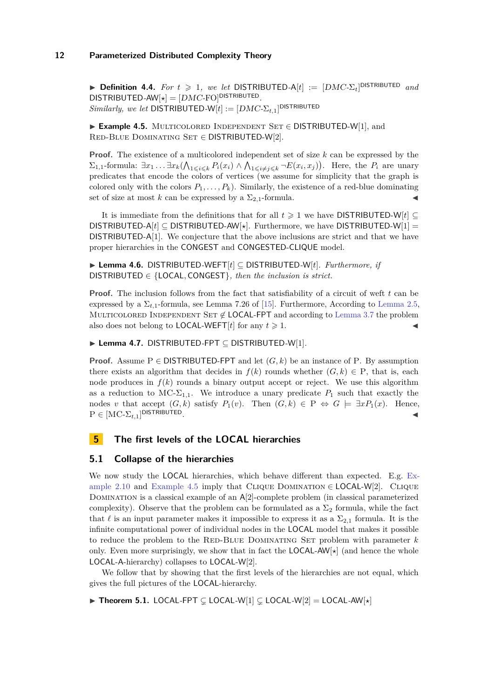$\triangleright$  **Definition 4.4.** *For*  $t \geq 1$ , we let DISTRIBUTED-A[t] :=  $[DMC \text{-} \Sigma_t]$ <sup>DISTRIBUTED</sup> and  $\textsf{DISTRIBUTED-AW}[\star] = [DMC\text{-}\mathrm{FO}]^{\textsf{DISTRIBUTED}}.$  $Similarly, we let$  DISTRIBUTED-W[ $t$ ] :=  $[DMC\text{-}\Sigma_{t,1}]^{\text{DISTRIBUTED}}$ 

<span id="page-11-1"></span>I **Example 4.5.** Multicolored Independent Set ∈ DISTRIBUTED-W[1], and Red-Blue Dominating Set ∈ DISTRIBUTED-W[2].

**Proof.** The existence of a multicolored independent set of size *k* can be expressed by the  $\Sigma_{1,1}$ -formula:  $\exists x_1 \ldots \exists x_k (\bigwedge_{1 \leq i \leq k} P_i(x_i) \wedge \bigwedge_{1 \leq i \neq j \leq k} \neg E(x_i, x_j)).$  Here, the  $P_i$  are unary predicates that encode the colors of vertices (we assume for simplicity that the graph is colored only with the colors  $P_1, \ldots, P_k$ . Similarly, the existence of a red-blue dominating set of size at most *k* can be expressed by a  $\Sigma_{2,1}$ -formula.

It is immediate from the definitions that for all  $t \geq 1$  we have DISTRIBUTED-W[ $t$ ] DISTRIBUTED-A[*t*] ⊆ DISTRIBUTED-AW[ $\star$ ]. Furthermore, we have DISTRIBUTED-W[1] = DISTRIBUTED-A[1]. We conjecture that the above inclusions are strict and that we have proper hierarchies in the CONGEST and CONGESTED-CLIQUE model.

I **Lemma 4.6.** DISTRIBUTED*-*WEFT[*t*] ⊆ DISTRIBUTED*-*W[*t*]*. Furthermore, if* DISTRIBUTED ∈ {LOCAL*,* CONGEST}*, then the inclusion is strict.*

**Proof.** The inclusion follows from the fact that satisfiability of a circuit of weft *t* can be expressed by a  $\Sigma_{t,1}$ -formula, see Lemma 7.26 of [\[15\]](#page-22-9). Furthermore, According to [Lemma 2.5,](#page-5-0) MULTICOLORED INDEPENDENT SET  $\notin$  LOCAL-FPT and according to [Lemma 3.7](#page-9-1) the problem also does not belong to **LOCAL-WEFT**[*t*] for any  $t \ge 1$ .

I **Lemma 4.7.** DISTRIBUTED*-*FPT ⊆ DISTRIBUTED*-*W[1]*.*

**Proof.** Assume P  $\in$  DISTRIBUTED-FPT and let  $(G, k)$  be an instance of P. By assumption there exists an algorithm that decides in  $f(k)$  rounds whether  $(G, k) \in P$ , that is, each node produces in  $f(k)$  rounds a binary output accept or reject. We use this algorithm as a reduction to  $MC-\Sigma_{1,1}$ . We introduce a unary predicate  $P_1$  such that exactly the nodes *v* that accept  $(G, k)$  satisfy  $P_1(v)$ . Then  $(G, k) \in P \Leftrightarrow G \models \exists x P_1(x)$ . Hence,  $P \in [MC - \Sigma_{t,1}]$ <sup>DISTRIBUTED</sup>.

# <span id="page-11-0"></span>**5 The first levels of the LOCAL hierarchies**

# **5.1 Collapse of the hierarchies**

We now study the LOCAL hierarchies, which behave different than expected. E.g. [Ex](#page-7-0)[ample 2.10](#page-7-0) and [Example 4.5](#page-11-1) imply that CLIQUE DOMINATION  $\in$  LOCAL-W[2]. CLIQUE DOMINATION is a classical example of an  $A[2]$ -complete problem (in classical parameterized complexity). Observe that the problem can be formulated as a  $\Sigma_2$  formula, while the fact that  $\ell$  is an input parameter makes it impossible to express it as a  $\Sigma_{2,1}$  formula. It is the infinite computational power of individual nodes in the LOCAL model that makes it possible to reduce the problem to the RED-BLUE DOMINATING SET problem with parameter  $k$ only. Even more surprisingly, we show that in fact the **LOCAL-AW** $\star$ ] (and hence the whole LOCAL-A-hierarchy) collapses to LOCAL-W[2].

We follow that by showing that the first levels of the hierarchies are not equal, which gives the full pictures of the LOCAL-hierarchy.

<span id="page-11-2"></span>▶ Theorem 5.1. LOCAL-FPT  $\subsetneq$  LOCAL-W[1]  $\subsetneq$  LOCAL-W[2] = LOCAL-AW[ $\star$ ]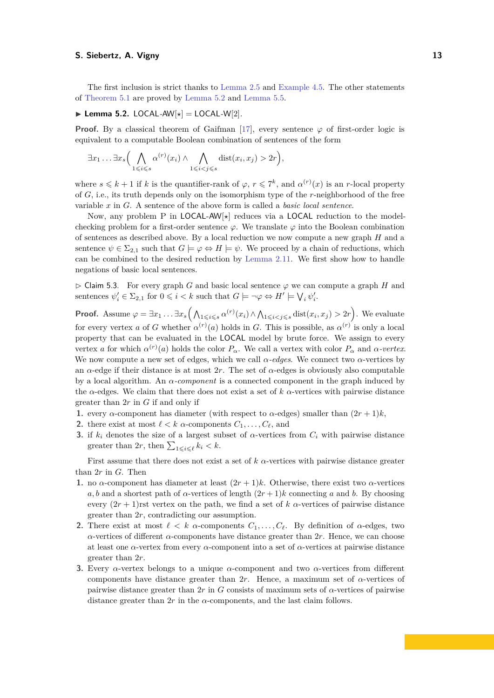The first inclusion is strict thanks to [Lemma 2.5](#page-5-0) and [Example 4.5.](#page-11-1) The other statements of [Theorem 5.1](#page-11-2) are proved by [Lemma 5.2](#page-12-0) and [Lemma 5.5.](#page-13-0)

<span id="page-12-0"></span> $\blacktriangleright$  Lemma 5.2. LOCAL-AW $[\star] =$  LOCAL-W $[2]$ *.* 

**Proof.** By a classical theorem of Gaifman [\[17\]](#page-22-11), every sentence  $\varphi$  of first-order logic is equivalent to a computable Boolean combination of sentences of the form

$$
\exists x_1 \ldots \exists x_s \Big( \bigwedge_{1 \leq i \leq s} \alpha^{(r)}(x_i) \wedge \bigwedge_{1 \leq i < j \leq s} \text{dist}(x_i, x_j) > 2r \Big),
$$

where  $s \leq k+1$  if *k* is the quantifier-rank of  $\varphi, r \leq 7^k$ , and  $\alpha^{(r)}(x)$  is an *r*-local property of *G*, i.e., its truth depends only on the isomorphism type of the *r*-neighborhood of the free variable *x* in *G*. A sentence of the above form is called a *basic local sentence*.

Now, any problem P in LOCAL-AW<sub>[ $\star$ ]</sub> reduces via a LOCAL reduction to the modelchecking problem for a first-order sentence  $\varphi$ . We translate  $\varphi$  into the Boolean combination of sentences as described above. By a local reduction we now compute a new graph *H* and a sentence  $\psi \in \Sigma_{2,1}$  such that  $G \models \varphi \Leftrightarrow H \models \psi$ . We proceed by a chain of reductions, which can be combined to the desired reduction by [Lemma 2.11.](#page-7-1) We first show how to handle negations of basic local sentences.

<span id="page-12-1"></span> $\triangleright$  Claim 5.3. For every graph *G* and basic local sentence  $\varphi$  we can compute a graph *H* and sentences  $\psi'_i \in \Sigma_{2,1}$  for  $0 \leq i < k$  such that  $G \models \neg \varphi \Leftrightarrow H' \models \bigvee_i \psi'_i$ .

**Proof.** Assume  $\varphi = \exists x_1 \dots \exists x_s \Big( \bigwedge_{1 \leq i \leq s} \alpha^{(r)}(x_i) \wedge \bigwedge_{1 \leq i < j \leq s} \text{dist}(x_i, x_j) > 2r \Big)$ . We evaluate for every vertex *a* of *G* whether  $\alpha^{(r)}(a)$  holds in *G*. This is possible, as  $\alpha^{(r)}$  is only a local property that can be evaluated in the LOCAL model by brute force. We assign to every vertex *a* for which  $\alpha^{(r)}(a)$  holds the color  $P_{\alpha}$ . We call a vertex with color  $P_{\alpha}$  and  $\alpha$ -vertex. We now compute a new set of edges, which we call  $\alpha$ -edges. We connect two  $\alpha$ -vertices by an *α*-edge if their distance is at most  $2r$ . The set of  $\alpha$ -edges is obviously also computable by a local algorithm. An *α-component* is a connected component in the graph induced by the  $\alpha$ -edges. We claim that there does not exist a set of  $k$   $\alpha$ -vertices with pairwise distance greater than 2*r* in *G* if and only if

- **1.** every *α*-component has diameter (with respect to *α*-edges) smaller than  $(2r + 1)k$ ,
- **2.** there exist at most  $\ell < k$   $\alpha$ -components  $C_1, \ldots, C_\ell$ , and
- **3.** if  $k_i$  denotes the size of a largest subset of *α*-vertices from  $C_i$  with pairwise distance greater than  $2r$ , then  $\sum_{1 \leqslant i \leqslant \ell} k_i < k$ .

First assume that there does not exist a set of *k α*-vertices with pairwise distance greater than 2*r* in *G*. Then

- **1.** no *α*-component has diameter at least  $(2r + 1)k$ . Otherwise, there exist two *α*-vertices *a, b* and a shortest path of *α*-vertices of length  $(2r + 1)k$  connecting *a* and *b*. By choosing every  $(2r + 1)$ rst vertex on the path, we find a set of *k α*-vertices of pairwise distance greater than 2*r*, contradicting our assumption.
- **2.** There exist at most  $\ell < k$  *α*-components  $C_1, \ldots, C_\ell$ . By definition of *α*-edges, two *α*-vertices of different *α*-components have distance greater than 2*r*. Hence, we can choose at least one *α*-vertex from every *α*-component into a set of *α*-vertices at pairwise distance greater than 2*r*.
- **3.** Every *α*-vertex belongs to a unique *α*-component and two *α*-vertices from different components have distance greater than 2*r*. Hence, a maximum set of *α*-vertices of pairwise distance greater than 2*r* in *G* consists of maximum sets of *α*-vertices of pairwise distance greater than  $2r$  in the  $\alpha$ -components, and the last claim follows.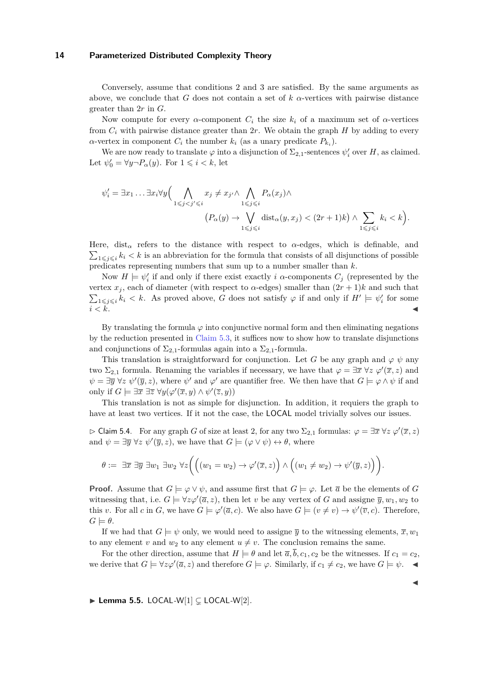Conversely, assume that conditions 2 and 3 are satisfied. By the same arguments as above, we conclude that *G* does not contain a set of  $k$   $\alpha$ -vertices with pairwise distance greater than 2*r* in *G*.

Now compute for every  $\alpha$ -component  $C_i$  the size  $k_i$  of a maximum set of  $\alpha$ -vertices from  $C_i$  with pairwise distance greater than  $2r$ . We obtain the graph  $H$  by adding to every *α*-vertex in component  $C_i$  the number  $k_i$  (as a unary predicate  $P_{k_i}$ ).

We are now ready to translate  $\varphi$  into a disjunction of  $\Sigma_{2,1}$ -sentences  $\psi'_i$  over *H*, as claimed. Let  $\psi'_0 = \forall y \neg P_\alpha(y)$ . For  $1 \leq i \leq k$ , let

$$
\psi_i' = \exists x_1 \dots \exists x_i \forall y \Big( \bigwedge_{1 \leq j < j' \leq i} x_j \neq x_{j'} \land \bigwedge_{1 \leq j \leq i} P_\alpha(x_j) \land \Big( P_\alpha(y) \to \bigvee_{1 \leq j \leq i} \text{dist}_\alpha(y, x_j) < (2r+1)k \Big) \land \sum_{1 \leq j \leq i} k_i < k \Big).
$$

Here, dist<sub>α</sub> refers to the distance with respect to  $\alpha$ -edges, which is definable, and  $\sum_{1 \leq j \leq i} k_i < k$  is an abbreviation for the formula that consists of all disjunctions of possible predicates representing numbers that sum up to a number smaller than *k*.

Now  $H \models \psi_i'$  if and only if there exist exactly *i*  $\alpha$ -components  $C_j$  (represented by the vertex  $x_j$ , each of diameter (with respect to  $\alpha$ -edges) smaller than  $(2r + 1)k$  and such that  $\sum_{1 \leq j \leq i} k_i < k$ . As proved above, *G* does not satisfy  $\varphi$  if and only if  $H' \models \psi'_i$  for some  $i < k$ .

By translating the formula  $\varphi$  into conjunctive normal form and then eliminating negations by the reduction presented in [Claim 5.3,](#page-12-1) it suffices now to show how to translate disjunctions and conjunctions of  $\Sigma_{2,1}$ -formulas again into a  $\Sigma_{2,1}$ -formula.

This translation is straightforward for conjunction. Let *G* be any graph and  $\varphi \psi$  any two  $\Sigma_{2,1}$  formula. Renaming the variables if necessary, we have that  $\varphi = \exists \bar{x} \ \forall z \ \varphi'(\bar{x}, z)$  and  $\psi = \exists \overline{y} \,\forall z \,\psi'(\overline{y}, z)$ , where  $\psi'$  and  $\varphi'$  are quantifier free. We then have that  $G \models \varphi \land \psi$  if and only if  $G \models \exists \overline{x} \exists \overline{z} \ \forall y (\varphi'(\overline{x}, y) \land \psi'(\overline{z}, y))$ 

This translation is not as simple for disjunction. In addition, it requiers the graph to have at least two vertices. If it not the case, the LOCAL model trivially solves our issues.

 $\triangleright$  Claim 5.4. For any graph *G* of size at least 2, for any two  $\Sigma_{2,1}$  formulas:  $\varphi = \exists \overline{x} \ \forall z \ \varphi'(\overline{x}, z)$ and  $\psi = \exists \overline{y} \ \forall z \ \psi'(\overline{y}, z)$ , we have that  $G \models (\varphi \lor \psi) \leftrightarrow \theta$ , where

$$
\theta := \exists \overline{x} \; \exists \overline{y} \; \exists w_1 \; \exists w_2 \; \forall z \bigg( \Big( (w_1 = w_2) \to \varphi'(\overline{x}, z) \Big) \wedge \Big( (w_1 \neq w_2) \to \psi'(\overline{y}, z) \Big) \bigg).
$$

**Proof.** Assume that  $G \models \varphi \lor \psi$ , and assume first that  $G \models \varphi$ . Let  $\overline{a}$  be the elements of *G* witnessing that, i.e.  $G \models \forall z \varphi'(\overline{a}, z)$ , then let *v* be any vertex of *G* and assigne  $\overline{y}, w_1, w_2$  to this *v*. For all *c* in *G*, we have  $G \models \varphi'(\overline{a}, c)$ . We also have  $G \models (v \neq v) \rightarrow \psi'(\overline{v}, c)$ . Therefore,  $G \models \theta$ .

If we had that  $G \models \psi$  only, we would need to assigne  $\overline{y}$  to the witnessing elements,  $\overline{x}, w_1$ to any element *v* and  $w_2$  to any element  $u \neq v$ . The conclusion remains the same.

For the other direction, assume that  $H \models \theta$  and let  $\overline{a}, \overline{b}, c_1, c_2$  be the witnesses. If  $c_1 = c_2$ , we derive that  $G \models \forall z \varphi'(\overline{a}, z)$  and therefore  $G \models \varphi$ . Similarly, if  $c_1 \neq c_2$ , we have  $G \models \psi$ .

 $\blacktriangleleft$ 

<span id="page-13-0"></span> $\blacktriangleright$  **Lemma 5.5.** LOCAL-W[1]  $\subsetneq$  LOCAL-W[2]*.*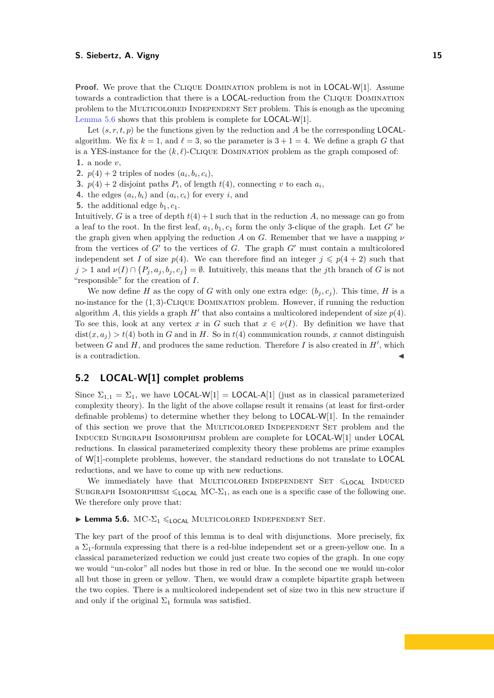**Proof.** We prove that the CLIQUE DOMINATION problem is not in **LOCAL-W**[1]. Assume towards a contradiction that there is a LOCAL-reduction from the Clique Domination problem to the Multicolored Independent Set problem. This is enough as the upcoming [Lemma 5.6](#page-14-0) shows that this problem is complete for LOCAL-W[1].

Let  $(s, r, t, p)$  be the functions given by the reduction and *A* be the corresponding **LOCAL**algorithm. We fix  $k = 1$ , and  $\ell = 3$ , so the parameter is  $3 + 1 = 4$ . We define a graph *G* that is a YES-instance for the  $(k, \ell)$ -CLIQUE DOMINATION problem as the graph composed of: **1.** a node *v*,

- **2.**  $p(4) + 2$  triples of nodes  $(a_i, b_i, c_i)$ ,
- **3.**  $p(4) + 2$  disjoint paths  $P_i$ , of length  $t(4)$ , connecting *v* to each  $a_i$ ,
- **4.** the edges  $(a_i, b_i)$  and  $(a_i, c_i)$  for every *i*, and
- **5.** the additional edge  $b_1, c_1$ .

Intuitively, *G* is a tree of depth  $t(4) + 1$  such that in the reduction *A*, no message can go from a leaf to the root. In the first leaf,  $a_1, b_1, c_1$  form the only 3-clique of the graph. Let *G'* be the graph given when applying the reduction *A* on *G*. Remember that we have a mapping *ν* from the vertices of  $G'$  to the vertices of  $G$ . The graph  $G'$  must contain a multicolored independent set *I* of size  $p(4)$ . We can therefore find an integer  $j \leqslant p(4 + 2)$  such that  $j > 1$  and  $\nu(I) \cap {P_i, a_j, b_j, c_j} = \emptyset$ . Intuitively, this means that the *j*th branch of *G* is not "responsible" for the creation of *I*.

We now define *H* as the copy of *G* with only one extra edge:  $(b_j, c_j)$ . This time, *H* is a no-instance for the (1*,* 3)-Clique Domination problem. However, if running the reduction algorithm *A*, this yields a graph  $H'$  that also contains a multicolored independent of size  $p(4)$ . To see this, look at any vertex *x* in *G* such that  $x \in \nu(I)$ . By definition we have that  $dist(x, a_i) > t(4)$  both in *G* and in *H*. So in  $t(4)$  communication rounds, *x* cannot distinguish between  $G$  and  $H$ , and produces the same reduction. Therefore  $I$  is also created in  $H'$ , which is a contradiction.

# **5.2 LOCAL-W[1] complet problems**

Since  $\Sigma_{1,1} = \Sigma_1$ , we have LOCAL-W[1] = LOCAL-A[1] (just as in classical parameterized complexity theory). In the light of the above collapse result it remains (at least for first-order definable problems) to determine whether they belong to LOCAL-W[1]. In the remainder of this section we prove that the Multicolored Independent Set problem and the Induced Subgraph Isomorphism problem are complete for LOCAL-W[1] under LOCAL reductions. In classical parameterized complexity theory these problems are prime examples of W[1]-complete problems, however, the standard reductions do not translate to LOCAL reductions, and we have to come up with new reductions.

We immediately have that MULTICOLORED INDEPENDENT SET  $\leq$ LOCAL INDUCED SUBGRAPH ISOMORPHISM  $\leq$ LOCAL MC- $\Sigma_1$ , as each one is a specific case of the following one. We therefore only prove that:

#### <span id="page-14-0"></span> $\blacktriangleright$  **Lemma 5.6.** MC- $\Sigma_1 \leq \text{Local MULTICOLORED INDEPENDENT SET$ .

The key part of the proof of this lemma is to deal with disjunctions. More precisely, fix a  $\Sigma_1$ -formula expressing that there is a red-blue independent set or a green-yellow one. In a classical parameterized reduction we could just create two copies of the graph. In one copy we would "un-color" all nodes but those in red or blue. In the second one we would un-color all but those in green or yellow. Then, we would draw a complete bipartite graph between the two copies. There is a multicolored independent set of size two in this new structure if and only if the original  $\Sigma_1$  formula was satisfied.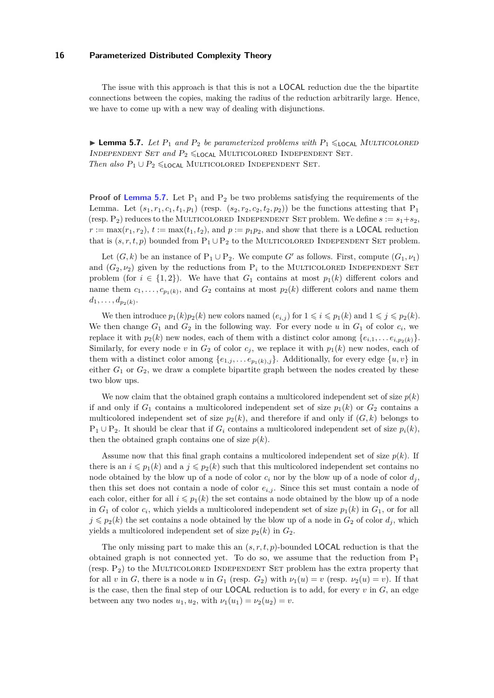The issue with this approach is that this is not a LOCAL reduction due the the bipartite connections between the copies, making the radius of the reduction arbitrarily large. Hence, we have to come up with a new way of dealing with disjunctions.

<span id="page-15-0"></span>**Lemma 5.7.** *Let*  $P_1$  *and*  $P_2$  *be parameterized problems with*  $P_1 \leq \text{Local MULTICOLORED}$ INDEPENDENT SET and  $P_2 \leq \text{Local MultifcoLORED INDEPENDENT SET}$ . *Then also*  $P_1 \cup P_2 \leq \text{Local MULTICOLORED INDEPENDENT SET.}$ 

**Proof of [Lemma 5.7.](#page-15-0)** Let  $P_1$  and  $P_2$  be two problems satisfying the requirements of the Lemma. Let  $(s_1, r_1, c_1, t_1, p_1)$  (resp.  $(s_2, r_2, c_2, t_2, p_2)$ ) be the functions attesting that  $P_1$ (resp.  $P_2$ ) reduces to the MULTICOLORED INDEPENDENT SET problem. We define  $s := s_1 + s_2$ ,  $r := \max(r_1, r_2), t := \max(t_1, t_2),$  and  $p := p_1 p_2$ , and show that there is a **LOCAL** reduction that is  $(s, r, t, p)$  bounded from  $P_1 \cup P_2$  to the MULTICOLORED INDEPENDENT SET problem.

Let  $(G, k)$  be an instance of  $P_1 \cup P_2$ . We compute *G'* as follows. First, compute  $(G_1, \nu_1)$ and  $(G_2, \nu_2)$  given by the reductions from  $P_i$  to the MULTICOLORED INDEPENDENT SET problem (for  $i \in \{1,2\}$ ). We have that  $G_1$  contains at most  $p_1(k)$  different colors and name them  $c_1, \ldots, c_{p_1(k)}$ , and  $G_2$  contains at most  $p_2(k)$  different colors and name them  $d_1, \ldots, d_{p_2(k)}$ .

We then introduce  $p_1(k)p_2(k)$  new colors named  $(e_{i,j})$  for  $1 \leq i \leq p_1(k)$  and  $1 \leq j \leq p_2(k)$ . We then change  $G_1$  and  $G_2$  in the following way. For every node *u* in  $G_1$  of color  $c_i$ , we replace it with  $p_2(k)$  new nodes, each of them with a distinct color among  $\{e_{i,1}, \ldots e_{i,p_2(k)}\}.$ Similarly, for every node  $v$  in  $G_2$  of color  $c_j$ , we replace it with  $p_1(k)$  new nodes, each of them with a distinct color among  $\{e_{1,j},\ldots,e_{p_1(k),j}\}$ . Additionally, for every edge  $\{u,v\}$  in either  $G_1$  or  $G_2$ , we draw a complete bipartite graph between the nodes created by these two blow ups.

We now claim that the obtained graph contains a multicolored independent set of size  $p(k)$ if and only if  $G_1$  contains a multicolored independent set of size  $p_1(k)$  or  $G_2$  contains a multicolored independent set of size  $p_2(k)$ , and therefore if and only if  $(G, k)$  belongs to  $P_1 \cup P_2$ . It should be clear that if  $G_i$  contains a multicolored independent set of size  $p_i(k)$ , then the obtained graph contains one of size  $p(k)$ .

Assume now that this final graph contains a multicolored independent set of size  $p(k)$ . If there is an  $i \leq p_1(k)$  and a  $j \leq p_2(k)$  such that this multicolored independent set contains no node obtained by the blow up of a node of color  $c_i$  nor by the blow up of a node of color  $d_j$ , then this set does not contain a node of color  $e_{i,j}$ . Since this set must contain a node of each color, either for all  $i \leq p_1(k)$  the set contains a node obtained by the blow up of a node in  $G_1$  of color  $c_i$ , which yields a multicolored independent set of size  $p_1(k)$  in  $G_1$ , or for all  $j \leq p_2(k)$  the set contains a node obtained by the blow up of a node in  $G_2$  of color  $d_j$ , which yields a multicolored independent set of size  $p_2(k)$  in  $G_2$ .

The only missing part to make this an (*s, r, t, p*)-bounded LOCAL reduction is that the obtained graph is not connected yet. To do so, we assume that the reduction from  $P_1$ (resp.  $P_2$ ) to the MULTICOLORED INDEPENDENT SET problem has the extra property that for all *v* in *G*, there is a node *u* in  $G_1$  (resp.  $G_2$ ) with  $\nu_1(u) = v$  (resp.  $\nu_2(u) = v$ ). If that is the case, then the final step of our LOCAL reduction is to add, for every *v* in *G*, an edge between any two nodes  $u_1, u_2$ , with  $\nu_1(u_1) = \nu_2(u_2) = v$ .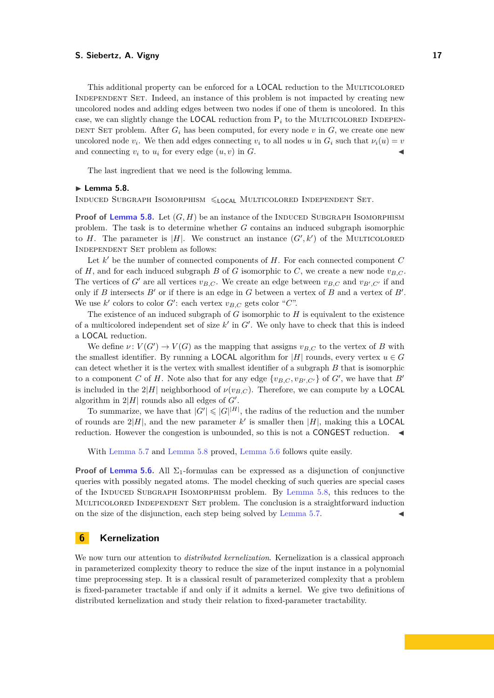This additional property can be enforced for a **LOCAL** reduction to the MULTICOLORED Independent Set. Indeed, an instance of this problem is not impacted by creating new uncolored nodes and adding edges between two nodes if one of them is uncolored. In this case, we can slightly change the **LOCAL** reduction from  $P_i$  to the MULTICOLORED INDEPEN-DENT SET problem. After  $G_i$  has been computed, for every node  $v$  in  $G$ , we create one new uncolored node  $v_i$ . We then add edges connecting  $v_i$  to all nodes  $u$  in  $G_i$  such that  $\nu_i(u) = v$ and connecting  $v_i$  to  $u_i$  for every edge  $(u, v)$  in  $G$ .

The last ingredient that we need is the following lemma.

#### <span id="page-16-1"></span>► Lemma 5.8.

INDUCED SUBGRAPH ISOMORPHISM  $\leq$ <sub>LOCAL</sub> MULTICOLORED</sub> INDEPENDENT SET.

**Proof of [Lemma 5.8.](#page-16-1)** Let  $(G, H)$  be an instance of the INDUCED SUBGRAPH ISOMORPHISM problem. The task is to determine whether *G* contains an induced subgraph isomorphic to *H*. The parameter is |*H*|. We construct an instance  $(G', k')$  of the MULTICOLORED Independent Set problem as follows:

Let  $k'$  be the number of connected components of  $H$ . For each connected component  $C$ of *H*, and for each induced subgraph *B* of *G* isomorphic to *C*, we create a new node  $v_{B,C}$ . The vertices of *G*<sup> $\prime$ </sup> are all vertices  $v_{B,C}$ . We create an edge between  $v_{B,C}$  and  $v_{B',C'}$  if and only if *B* intersects  $B'$  or if there is an edge in  $G$  between a vertex of  $B$  and a vertex of  $B'$ . We use  $k'$  colors to color  $G'$ : each vertex  $v_{B,C}$  gets color " $C$ ".

The existence of an induced subgraph of *G* isomorphic to *H* is equivalent to the existence of a multicolored independent set of size  $k'$  in  $G'$ . We only have to check that this is indeed a LOCAL reduction.

We define  $\nu: V(G') \to V(G)$  as the mapping that assigns  $v_{B,C}$  to the vertex of *B* with the smallest identifier. By running a **LOCAL** algorithm for  $|H|$  rounds, every vertex  $u \in G$ can detect whether it is the vertex with smallest identifier of a subgraph *B* that is isomorphic to a component *C* of *H*. Note also that for any edge  $\{v_{B,C}, v_{B',C'}\}$  of *G'*, we have that *B'* is included in the  $2|H|$  neighborhood of  $\nu(v_{B,C})$ . Therefore, we can compute by a **LOCAL** algorithm in  $2|H|$  rounds also all edges of  $G'$ .

To summarize, we have that  $|G'| \leqslant |G|^{|H|}$ , the radius of the reduction and the number of rounds are  $2|H|$ , and the new parameter k' is smaller then  $|H|$ , making this a LOCAL reduction. However the congestion is unbounded, so this is not a CONGEST reduction.  $\blacktriangleleft$ 

With [Lemma 5.7](#page-15-0) and [Lemma 5.8](#page-16-1) proved, [Lemma 5.6](#page-14-0) follows quite easily.

**Proof of [Lemma 5.6.](#page-14-0)** All  $\Sigma_1$ -formulas can be expressed as a disjunction of conjunctive queries with possibly negated atoms. The model checking of such queries are special cases of the Induced Subgraph Isomorphism problem. By [Lemma 5.8,](#page-16-1) this reduces to the Multicolored Independent Set problem. The conclusion is a straightforward induction on the size of the disjunction, each step being solved by [Lemma 5.7.](#page-15-0)

# <span id="page-16-0"></span>**6 Kernelization**

We now turn our attention to *distributed kernelization*. Kernelization is a classical approach in parameterized complexity theory to reduce the size of the input instance in a polynomial time preprocessing step. It is a classical result of parameterized complexity that a problem is fixed-parameter tractable if and only if it admits a kernel. We give two definitions of distributed kernelization and study their relation to fixed-parameter tractability.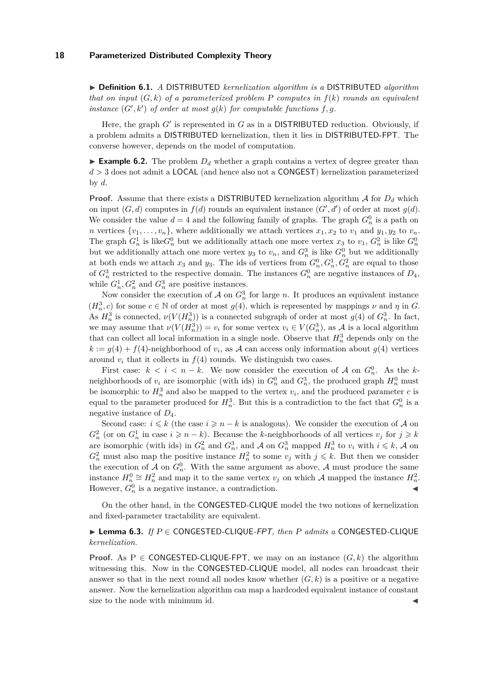I **Definition 6.1.** *A* DISTRIBUTED *kernelization algorithm is a* DISTRIBUTED *algorithm that on input* (*G, k*) *of a parameterized problem* P *computes in f*(*k*) *rounds an equivalent instance*  $(G', k')$  *of order at most*  $g(k)$  *for computable functions*  $f, g$ *.* 

Here, the graph  $G'$  is represented in  $G$  as in a DISTRIBUTED reduction. Obviously, if a problem admits a DISTRIBUTED kernelization, then it lies in DISTRIBUTED-FPT. The converse however, depends on the model of computation.

**Example 6.2.** The problem  $D_d$  whether a graph contains a vertex of degree greater than *d >* 3 does not admit a LOCAL (and hence also not a CONGEST) kernelization parameterized by *d*.

**Proof.** Assume that there exists a DISTRIBUTED kernelization algorithm  $\mathcal A$  for  $D_d$  which on input  $(G, d)$  computes in  $f(d)$  rounds an equivalent instance  $(G', d')$  of order at most  $g(d)$ . We consider the value  $d = 4$  and the following family of graphs. The graph  $G_n^0$  is a path on *n* vertices  $\{v_1, \ldots, v_n\}$ , where additionally we attach vertices  $x_1, x_2$  to  $v_1$  and  $y_1, y_2$  to  $v_n$ . The graph  $G_n^1$  is like  $G_n^0$  but we additionally attach one more vertex  $x_3$  to  $v_1$ ,  $G_n^2$  is like  $G_n^0$ but we additionally attach one more vertex  $y_3$  to  $v_n$ , and  $G_n^3$  is like  $G_n^0$  but we additionally at both ends we attach  $x_3$  and  $y_3$ . The ids of vertices from  $G_n^0, G_n^1, G_n^2$  are equal to those of  $G_n^3$  restricted to the respective domain. The instances  $G_n^0$  are negative instances of  $D_4$ , while  $G_n^1, G_n^2$  and  $G_n^3$  are positive instances.

Now consider the execution of  $A$  on  $G_n^3$  for large *n*. It produces an equivalent instance  $(H_n^3, c)$  for some  $c \in \mathbb{N}$  of order at most  $g(4)$ , which is represented by mappings  $\nu$  and  $\eta$  in *G*. As  $H_n^3$  is connected,  $\nu(V(H_n^3))$  is a connected subgraph of order at most  $g(4)$  of  $G_n^3$ . In fact, we may assume that  $\nu(V(H_n^3)) = v_i$  for some vertex  $v_i \in V(G_n^3)$ , as A is a local algorithm that can collect all local information in a single node. Observe that  $H_n^3$  depends only on the  $k := g(4) + f(4)$ -neighborhood of  $v_i$ , as A can access only information about  $g(4)$  vertices around  $v_i$  that it collects in  $f(4)$  rounds. We distinguish two cases.

First case:  $k < i < n - k$ . We now consider the execution of A on  $G_n^0$ . As the kneighborhoods of  $v_i$  are isomorphic (with ids) in  $G_n^0$  and  $G_n^3$ , the produced graph  $H_n^0$  must be isomorphic to  $H_n^3$  and also be mapped to the vertex  $v_i$ , and the produced parameter  $c$  is equal to the parameter produced for  $H_n^3$ . But this is a contradiction to the fact that  $G_n^0$  is a negative instance of *D*4.

Second case:  $i \leq k$  (the case  $i \geq n - k$  is analogous). We consider the execution of A on  $G_n^2$  (or on  $G_n^1$  in case  $i \geq n - k$ ). Because the *k*-neighborhoods of all vertices  $v_j$  for  $j \geq k$ are isomorphic (with ids) in  $G_n^2$  and  $G_n^3$ , and A on  $G_n^3$  mapped  $H_n^3$  to  $v_i$  with  $i \leq k$ , A on  $G_n^2$  must also map the positive instance  $H_n^2$  to some  $v_j$  with  $j \leq k$ . But then we consider the execution of  $A$  on  $G_n^0$ . With the same argument as above,  $A$  must produce the same instance  $H_n^0 \cong H_n^2$  and map it to the same vertex  $v_j$  on which A mapped the instance  $H_n^2$ . However,  $G_n^0$  is a negative instance, a contradiction.

On the other hand, in the CONGESTED-CLIQUE model the two notions of kernelization and fixed-parameter tractability are equivalent.

# I **Lemma 6.3.** *If* P ∈ CONGESTED*-*CLIQUE*-*FPT*, then* P *admits a* CONGESTED*-*CLIQUE *kernelization.*

**Proof.** As P  $\in$  **CONGESTED-CLIQUE-FPT**, we may on an instance  $(G, k)$  the algorithm witnessing this. Now in the CONGESTED-CLIQUE model, all nodes can broadcast their answer so that in the next round all nodes know whether  $(G, k)$  is a positive or a negative answer. Now the kernelization algorithm can map a hardcoded equivalent instance of constant size to the node with minimum id.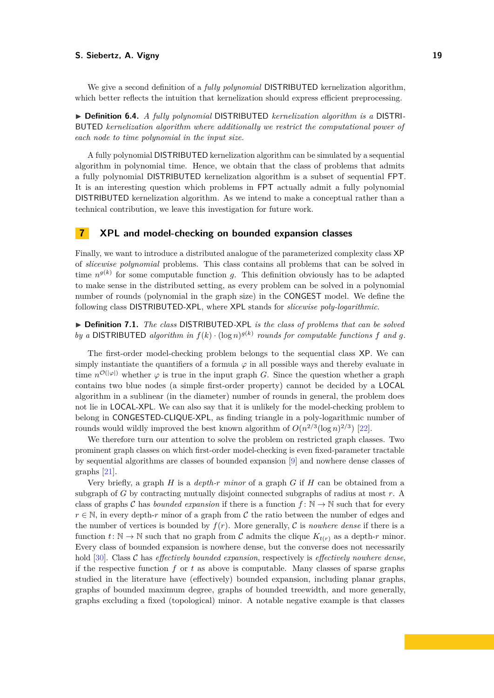We give a second definition of a *fully polynomial* DISTRIBUTED kernelization algorithm, which better reflects the intuition that kernelization should express efficient preprocessing.

▶ **Definition 6.4.** *A fully polynomial* DISTRIBUTED *kernelization algorithm is a* DISTRI-BUTED *kernelization algorithm where additionally we restrict the computational power of each node to time polynomial in the input size.*

A fully polynomial DISTRIBUTED kernelization algorithm can be simulated by a sequential algorithm in polynomial time. Hence, we obtain that the class of problems that admits a fully polynomial DISTRIBUTED kernelization algorithm is a subset of sequential FPT. It is an interesting question which problems in FPT actually admit a fully polynomial DISTRIBUTED kernelization algorithm. As we intend to make a conceptual rather than a technical contribution, we leave this investigation for future work.

# <span id="page-18-0"></span>**7 XPL and model-checking on bounded expansion classes**

Finally, we want to introduce a distributed analogue of the parameterized complexity class XP of *slicewise polynomial* problems. This class contains all problems that can be solved in time  $n^{g(k)}$  for some computable function *g*. This definition obviously has to be adapted to make sense in the distributed setting, as every problem can be solved in a polynomial number of rounds (polynomial in the graph size) in the CONGEST model. We define the following class DISTRIBUTED-XPL, where XPL stands for *slicewise poly-logarithmic*.

▶ **Definition 7.1.** *The class* DISTRIBUTED-XPL *is the class of problems that can be solved by a* DISTRIBUTED algorithm in  $f(k) \cdot (\log n)^{g(k)}$  rounds for computable functions f and g.

The first-order model-checking problem belongs to the sequential class XP. We can simply instantiate the quantifiers of a formula  $\varphi$  in all possible ways and thereby evaluate in time  $n^{\mathcal{O}(|\varphi|)}$  whether  $\varphi$  is true in the input graph *G*. Since the question whether a graph contains two blue nodes (a simple first-order property) cannot be decided by a LOCAL algorithm in a sublinear (in the diameter) number of rounds in general, the problem does not lie in LOCAL-XPL. We can also say that it is unlikely for the model-checking problem to belong in CONGESTED-CLIQUE-XPL, as finding triangle in a poly-logarithmic number of rounds would wildly improved the best known algorithm of  $O(n^{2/3}(\log n)^{2/3})$  [\[22\]](#page-22-12).

We therefore turn our attention to solve the problem on restricted graph classes. Two prominent graph classes on which first-order model-checking is even fixed-parameter tractable by sequential algorithms are classes of bounded expansion [\[9\]](#page-22-13) and nowhere dense classes of graphs [\[21\]](#page-22-14).

Very briefly, a graph *H* is a *depth-r minor* of a graph *G* if *H* can be obtained from a subgraph of *G* by contracting mutually disjoint connected subgraphs of radius at most *r*. A class of graphs C has *bounded expansion* if there is a function  $f : \mathbb{N} \to \mathbb{N}$  such that for every  $r \in \mathbb{N}$ , in every depth-*r* minor of a graph from C the ratio between the number of edges and the number of vertices is bounded by  $f(r)$ . More generally, C is *nowhere dense* if there is a function  $t: \mathbb{N} \to \mathbb{N}$  such that no graph from C admits the clique  $K_{t(r)}$  as a depth-r minor. Every class of bounded expansion is nowhere dense, but the converse does not necessarily hold [\[30\]](#page-22-15). Class C has *effectively bounded expansion*, respectively is *effectively nowhere dense*, if the respective function *f* or *t* as above is computable. Many classes of sparse graphs studied in the literature have (effectively) bounded expansion, including planar graphs, graphs of bounded maximum degree, graphs of bounded treewidth, and more generally, graphs excluding a fixed (topological) minor. A notable negative example is that classes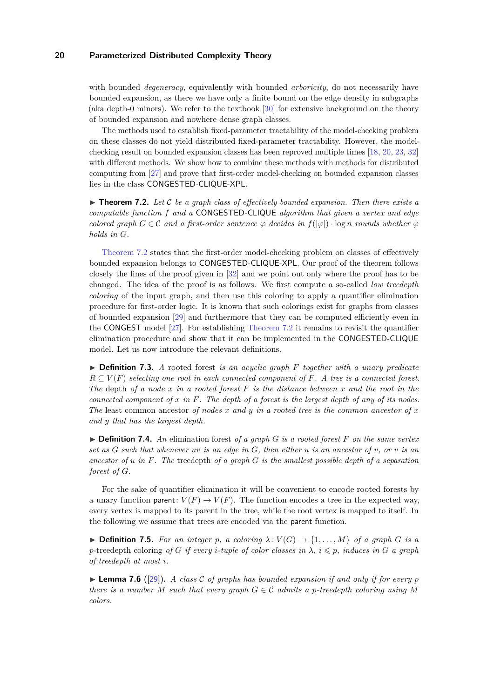with bounded *degeneracy*, equivalently with bounded *arboricity*, do not necessarily have bounded expansion, as there we have only a finite bound on the edge density in subgraphs (aka depth-0 minors). We refer to the textbook [\[30\]](#page-22-15) for extensive background on the theory of bounded expansion and nowhere dense graph classes.

The methods used to establish fixed-parameter tractability of the model-checking problem on these classes do not yield distributed fixed-parameter tractability. However, the modelchecking result on bounded expansion classes has been reproved multiple times [\[18,](#page-22-16) [20,](#page-22-17) [23,](#page-22-18) [32\]](#page-23-4) with different methods. We show how to combine these methods with methods for distributed computing from [\[27\]](#page-22-19) and prove that first-order model-checking on bounded expansion classes lies in the class CONGESTED-CLIQUE-XPL.

<span id="page-19-0"></span> $\triangleright$  **Theorem 7.2.** Let C be a graph class of effectively bounded expansion. Then there exists a *computable function f and a* CONGESTED*-*CLIQUE *algorithm that given a vertex and edge colored graph*  $G \in \mathcal{C}$  *and a first-order sentence*  $\varphi$  *decides in*  $f(|\varphi|) \cdot \log n$  *rounds whether*  $\varphi$ *holds in G.*

[Theorem 7.2](#page-19-0) states that the first-order model-checking problem on classes of effectively bounded expansion belongs to CONGESTED-CLIQUE-XPL. Our proof of the theorem follows closely the lines of the proof given in [\[32\]](#page-23-4) and we point out only where the proof has to be changed. The idea of the proof is as follows. We first compute a so-called *low treedepth coloring* of the input graph, and then use this coloring to apply a quantifier elimination procedure for first-order logic. It is known that such colorings exist for graphs from classes of bounded expansion [\[29\]](#page-22-20) and furthermore that they can be computed efficiently even in the CONGEST model [\[27\]](#page-22-19). For establishing [Theorem 7.2](#page-19-0) it remains to revisit the quantifier elimination procedure and show that it can be implemented in the CONGESTED-CLIQUE model. Let us now introduce the relevant definitions.

I **Definition 7.3.** *A* rooted forest *is an acyclic graph F together with a unary predicate*  $R \subseteq V(F)$  *selecting one root in each connected component of*  $F$ *. A tree is a connected forest. The* depth *of a node x in a rooted forest F is the distance between x and the root in the connected component of x in F. The depth of a forest is the largest depth of any of its nodes. The* least common ancestor *of nodes x and y in a rooted tree is the common ancestor of x and y that has the largest depth.*

 $\triangleright$  **Definition 7.4.** An elimination forest *of a graph G is a rooted forest*  $F$  *on the same vertex set as G such that whenever uv is an edge in G, then either u is an ancestor of v, or v is an ancestor of u in F. The* treedepth *of a graph G is the smallest possible depth of a separation forest of G.*

For the sake of quantifier elimination it will be convenient to encode rooted forests by a unary function parent:  $V(F) \to V(F)$ . The function encodes a tree in the expected way, every vertex is mapped to its parent in the tree, while the root vertex is mapped to itself. In the following we assume that trees are encoded via the parent function.

 $\triangleright$  **Definition 7.5.** *For an integer p*, a coloring  $\lambda: V(G) \to \{1, \ldots, M\}$  of a graph G is a *p*-treedepth coloring of *G if every i*-tuple of color classes in  $\lambda$ ,  $i \leq p$ , induces in *G a graph of treedepth at most i.*

**Lemma 7.6** ([\[29\]](#page-22-20)). A class C of graphs has bounded expansion if and only if for every p *there is a number M such that every graph*  $G \in \mathcal{C}$  *admits a p-treedepth coloring using M colors.*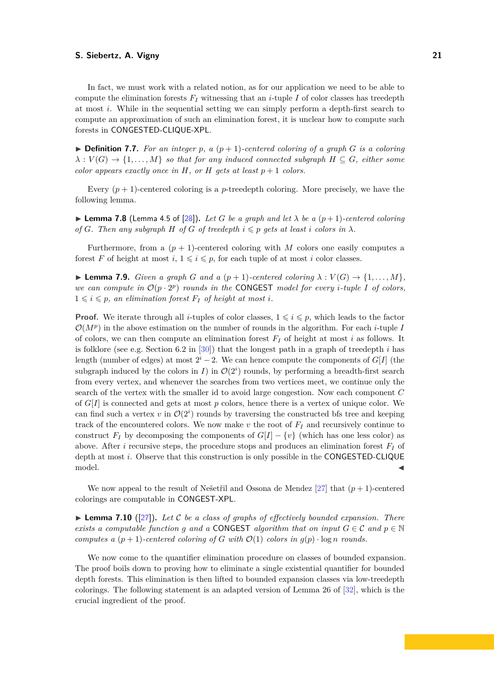In fact, we must work with a related notion, as for our application we need to be able to compute the elimination forests  $F_I$  witnessing that an *i*-tuple  $I$  of color classes has treedepth at most *i*. While in the sequential setting we can simply perform a depth-first search to compute an approximation of such an elimination forest, it is unclear how to compute such forests in CONGESTED-CLIQUE-XPL.

 $\triangleright$  **Definition 7.7.** For an integer p, a  $(p+1)$ -centered coloring of a graph G is a coloring  $\lambda: V(G) \to \{1, \ldots, M\}$  *so that for any induced connected subgraph*  $H \subseteq G$ *, either some color appears exactly once in*  $H$ *, or*  $H$  *gets at least*  $p + 1$  *colors.* 

Every  $(p+1)$ -centered coloring is a *p*-treedepth coloring. More precisely, we have the following lemma.

**I Lemma 7.8** (Lemma 4.5 of [\[28\]](#page-22-21)). Let G be a graph and let  $\lambda$  be a  $(p+1)$ -centered coloring *of G. Then any subgraph H of G of treedepth*  $i \leq p$  *gets at least i colors in*  $\lambda$ *.* 

Furthermore, from a  $(p + 1)$ -centered coloring with *M* colors one easily computes a forest *F* of height at most  $i, 1 \leq i \leq p$ , for each tuple of at most *i* color classes.

<span id="page-20-0"></span>**Example 7.9.** *Given a graph G and a*  $(p+1)$ *-centered coloring*  $\lambda : V(G) \rightarrow \{1, \ldots, M\}$ , we can compute in  $\mathcal{O}(p \cdot 2^p)$  rounds in the CONGEST model for every *i*-tuple I of colors,  $1 \leq i \leq p$ , an elimination forest  $F_I$  of height at most *i*.

**Proof.** We iterate through all *i*-tuples of color classes,  $1 \leq i \leq p$ , which leads to the factor  $\mathcal{O}(M^p)$  in the above estimation on the number of rounds in the algorithm. For each *i*-tuple *I* of colors, we can then compute an elimination forest *F<sup>I</sup>* of height at most *i* as follows. It is folklore (see e.g. Section 6.2 in [\[30\]](#page-22-15)) that the longest path in a graph of treedepth *i* has length (number of edges) at most  $2^{i} - 2$ . We can hence compute the components of *G*[*I*] (the subgraph induced by the colors in *I*) in  $\mathcal{O}(2^i)$  rounds, by performing a breadth-first search from every vertex, and whenever the searches from two vertices meet, we continue only the search of the vertex with the smaller id to avoid large congestion. Now each component *C* of *G*[*I*] is connected and gets at most *p* colors, hence there is a vertex of unique color. We can find such a vertex  $v$  in  $\mathcal{O}(2^i)$  rounds by traversing the constructed bfs tree and keeping track of the encountered colors. We now make  $v$  the root of  $F_I$  and recursively continue to construct  $F_I$  by decomposing the components of  $G[I] - \{v\}$  (which has one less color) as above. After *i* recursive steps, the procedure stops and produces an elimination forest *F<sup>I</sup>* of depth at most *i*. Observe that this construction is only possible in the CONGESTED-CLIQUE  $\blacksquare$  model.

We now appeal to the result of Nešetřil and Ossona de Mendez  $[27]$  that  $(p+1)$ -centered colorings are computable in CONGEST-XPL.

<span id="page-20-1"></span> $\triangleright$  **Lemma 7.10** ([\[27\]](#page-22-19)). Let C be a class of graphs of effectively bounded expansion. There *exists a computable function g* and a CONGEST algorithm that on input  $G \in \mathcal{C}$  and  $p \in \mathbb{N}$ *computes a*  $(p+1)$ *-centered coloring of G with*  $\mathcal{O}(1)$  *colors in*  $g(p)$  · log *n rounds.* 

We now come to the quantifier elimination procedure on classes of bounded expansion. The proof boils down to proving how to eliminate a single existential quantifier for bounded depth forests. This elimination is then lifted to bounded expansion classes via low-treedepth colorings. The following statement is an adapted version of Lemma 26 of [\[32\]](#page-23-4), which is the crucial ingredient of the proof.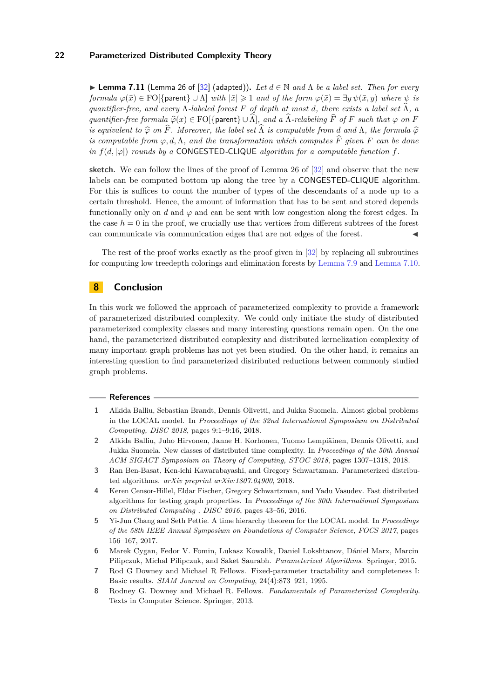**► Lemma 7.11** (Lemma 26 of [\[32\]](#page-23-4) (adapted)). Let  $d \in \mathbb{N}$  and  $\Lambda$  be a label set. Then for every *formula*  $\varphi(\bar{x}) \in \text{FO}(\{\text{parent}\} \cup \Lambda)$  *with*  $|\bar{x}| \geqslant 1$  *and of the form*  $\varphi(\bar{x}) = \exists y \psi(\bar{x}, y)$  *where*  $\psi$  *is quantifier-free, and every*  $\Lambda$ -labeled forest  $F$  of depth at most  $d$ , there exists a label set  $\Lambda$ , a *quantifier-free formula*  $\widehat{\varphi}(\bar{x}) \in FO[\{\text{parent}\} \cup \widehat{\Lambda}\],$  and a  $\widehat{\Lambda}$ -relabeling  $\widehat{F}$  *of*  $F$  *such that*  $\varphi$  *on*  $F$ *is equivalent to*  $\widehat{\varphi}$  *on*  $\widehat{F}$ *. Moreover, the label set*  $\widehat{\Lambda}$  *is computable from d* and  $\Lambda$ *, the formula*  $\widehat{\varphi}$ *is computable from*  $\varphi, d, \Lambda$ *, and the transformation which computes*  $\hat{F}$  *given*  $F$  *can be done in*  $f(d, |\varphi|)$  *rounds by a* CONGESTED-CLIQUE *algorithm for a computable function*  $f$ *.* 

**sketch.** We can follow the lines of the proof of Lemma 26 of [\[32\]](#page-23-4) and observe that the new labels can be computed bottom up along the tree by a CONGESTED-CLIQUE algorithm. For this is suffices to count the number of types of the descendants of a node up to a certain threshold. Hence, the amount of information that has to be sent and stored depends functionally only on *d* and  $\varphi$  and can be sent with low congestion along the forest edges. In the case  $h = 0$  in the proof, we crucially use that vertices from different subtrees of the forest can communicate via communication edges that are not edges of the forest.

The rest of the proof works exactly as the proof given in [\[32\]](#page-23-4) by replacing all subroutines for computing low treedepth colorings and elimination forests by [Lemma 7.9](#page-20-0) and [Lemma 7.10.](#page-20-1)

# **8 Conclusion**

In this work we followed the approach of parameterized complexity to provide a framework of parameterized distributed complexity. We could only initiate the study of distributed parameterized complexity classes and many interesting questions remain open. On the one hand, the parameterized distributed complexity and distributed kernelization complexity of many important graph problems has not yet been studied. On the other hand, it remains an interesting question to find parameterized distributed reductions between commonly studied graph problems.

#### **References**

- <span id="page-21-0"></span>**1** Alkida Balliu, Sebastian Brandt, Dennis Olivetti, and Jukka Suomela. Almost global problems in the LOCAL model. In *Proceedings of the 32nd International Symposium on Distributed Computing, DISC 2018*, pages 9:1–9:16, 2018.
- <span id="page-21-1"></span>**2** Alkida Balliu, Juho Hirvonen, Janne H. Korhonen, Tuomo Lempiäinen, Dennis Olivetti, and Jukka Suomela. New classes of distributed time complexity. In *Proceedings of the 50th Annual ACM SIGACT Symposium on Theory of Computing, STOC 2018*, pages 1307–1318, 2018.
- <span id="page-21-4"></span>**3** Ran Ben-Basat, Ken-ichi Kawarabayashi, and Gregory Schwartzman. Parameterized distributed algorithms. *arXiv preprint arXiv:1807.04900*, 2018.
- <span id="page-21-3"></span>**4** Keren Censor-Hillel, Eldar Fischer, Gregory Schwartzman, and Yadu Vasudev. Fast distributed algorithms for testing graph properties. In *Proceedings of the 30th International Symposium on Distributed Computing , DISC 2016*, pages 43–56, 2016.
- <span id="page-21-2"></span>**5** Yi-Jun Chang and Seth Pettie. A time hierarchy theorem for the LOCAL model. In *Proceedings of the 58th IEEE Annual Symposium on Foundations of Computer Science, FOCS 2017*, pages 156–167, 2017.
- <span id="page-21-6"></span>**6** Marek Cygan, Fedor V. Fomin, Lukasz Kowalik, Daniel Lokshtanov, Dániel Marx, Marcin Pilipczuk, Michal Pilipczuk, and Saket Saurabh. *Parameterized Algorithms*. Springer, 2015.
- <span id="page-21-5"></span>**7** Rod G Downey and Michael R Fellows. Fixed-parameter tractability and completeness I: Basic results. *SIAM Journal on Computing*, 24(4):873–921, 1995.
- <span id="page-21-7"></span>**8** Rodney G. Downey and Michael R. Fellows. *Fundamentals of Parameterized Complexity*. Texts in Computer Science. Springer, 2013.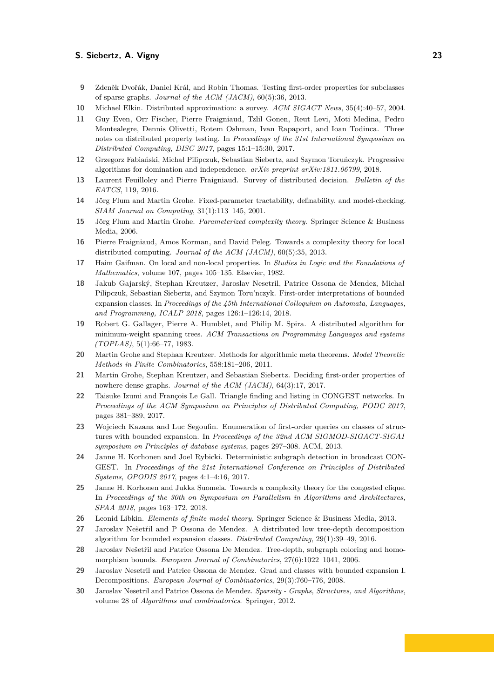- <span id="page-22-13"></span>**9** Zdeněk Dvořák, Daniel Král, and Robin Thomas. Testing first-order properties for subclasses of sparse graphs. *Journal of the ACM (JACM)*, 60(5):36, 2013.
- <span id="page-22-1"></span>**10** Michael Elkin. Distributed approximation: a survey. *ACM SIGACT News*, 35(4):40–57, 2004.
- <span id="page-22-7"></span>**11** Guy Even, Orr Fischer, Pierre Fraigniaud, Tzlil Gonen, Reut Levi, Moti Medina, Pedro Montealegre, Dennis Olivetti, Rotem Oshman, Ivan Rapaport, and Ioan Todinca. Three notes on distributed property testing. In *Proceedings of the 31st International Symposium on Distributed Computing, DISC 2017*, pages 15:1–15:30, 2017.
- <span id="page-22-5"></span>**12** Grzegorz Fabiański, Michał Pilipczuk, Sebastian Siebertz, and Szymon Toruńczyk. Progressive algorithms for domination and independence. *arXiv preprint arXiv:1811.06799*, 2018.
- <span id="page-22-2"></span>**13** Laurent Feuilloley and Pierre Fraigniaud. Survey of distributed decision. *Bulletin of the EATCS*, 119, 2016.
- <span id="page-22-8"></span>**14** Jörg Flum and Martin Grohe. Fixed-parameter tractability, definability, and model-checking. *SIAM Journal on Computing*, 31(1):113–145, 2001.
- <span id="page-22-9"></span>**15** Jörg Flum and Martin Grohe. *Parameterized complexity theory*. Springer Science & Business Media, 2006.
- <span id="page-22-3"></span>**16** Pierre Fraigniaud, Amos Korman, and David Peleg. Towards a complexity theory for local distributed computing. *Journal of the ACM (JACM)*, 60(5):35, 2013.
- <span id="page-22-11"></span>**17** Haim Gaifman. On local and non-local properties. In *Studies in Logic and the Foundations of Mathematics*, volume 107, pages 105–135. Elsevier, 1982.
- <span id="page-22-16"></span>**18** Jakub Gajarský, Stephan Kreutzer, Jaroslav Nesetril, Patrice Ossona de Mendez, Michal Pilipczuk, Sebastian Siebertz, and Szymon Toru'nczyk. First-order interpretations of bounded expansion classes. In *Proceedings of the 45th International Colloquium on Automata, Languages, and Programming, ICALP 2018*, pages 126:1–126:14, 2018.
- <span id="page-22-0"></span>**19** Robert G. Gallager, Pierre A. Humblet, and Philip M. Spira. A distributed algorithm for minimum-weight spanning trees. *ACM Transactions on Programming Languages and systems (TOPLAS)*, 5(1):66–77, 1983.
- <span id="page-22-17"></span>**20** Martin Grohe and Stephan Kreutzer. Methods for algorithmic meta theorems. *Model Theoretic Methods in Finite Combinatorics*, 558:181–206, 2011.
- <span id="page-22-14"></span>**21** Martin Grohe, Stephan Kreutzer, and Sebastian Siebertz. Deciding first-order properties of nowhere dense graphs. *Journal of the ACM (JACM)*, 64(3):17, 2017.
- <span id="page-22-12"></span>**22** Taisuke Izumi and François Le Gall. Triangle finding and listing in CONGEST networks. In *Proceedings of the ACM Symposium on Principles of Distributed Computing, PODC 2017*, pages 381–389, 2017.
- <span id="page-22-18"></span>**23** Wojciech Kazana and Luc Segoufin. Enumeration of first-order queries on classes of structures with bounded expansion. In *Proceedings of the 32nd ACM SIGMOD-SIGACT-SIGAI symposium on Principles of database systems*, pages 297–308. ACM, 2013.
- <span id="page-22-6"></span>**24** Janne H. Korhonen and Joel Rybicki. Deterministic subgraph detection in broadcast CON-GEST. In *Proceedings of the 21st International Conference on Principles of Distributed Systems, OPODIS 2017*, pages 4:1–4:16, 2017.
- <span id="page-22-4"></span>**25** Janne H. Korhonen and Jukka Suomela. Towards a complexity theory for the congested clique. In *Proceedings of the 30th on Symposium on Parallelism in Algorithms and Architectures, SPAA 2018*, pages 163–172, 2018.
- <span id="page-22-10"></span>**26** Leonid Libkin. *Elements of finite model theory*. Springer Science & Business Media, 2013.
- <span id="page-22-19"></span>**27** Jaroslav Nešetřil and P Ossona de Mendez. A distributed low tree-depth decomposition algorithm for bounded expansion classes. *Distributed Computing*, 29(1):39–49, 2016.
- <span id="page-22-21"></span>**28** Jaroslav Nešetřil and Patrice Ossona De Mendez. Tree-depth, subgraph coloring and homomorphism bounds. *European Journal of Combinatorics*, 27(6):1022–1041, 2006.
- <span id="page-22-20"></span>**29** Jaroslav Nesetril and Patrice Ossona de Mendez. Grad and classes with bounded expansion I. Decompositions. *European Journal of Combinatorics*, 29(3):760–776, 2008.
- <span id="page-22-15"></span>**30** Jaroslav Nesetril and Patrice Ossona de Mendez. *Sparsity - Graphs, Structures, and Algorithms*, volume 28 of *Algorithms and combinatorics*. Springer, 2012.